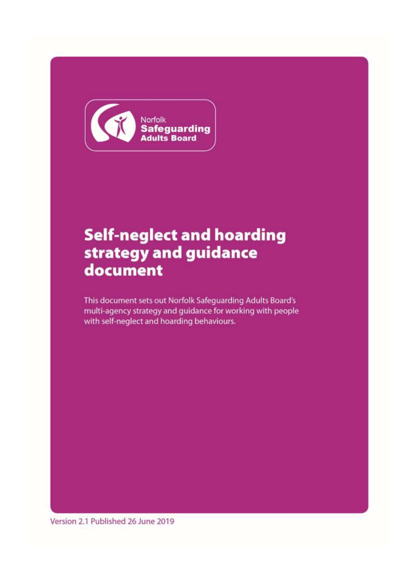

# **Self-neglect and hoarding** strategy and guidance document

This document sets out Norfolk Safeguarding Adults Board's multi-agency strategy and guidance for working with people with self-neglect and hoarding behaviours.

Version 2.1 Published 26 June 2019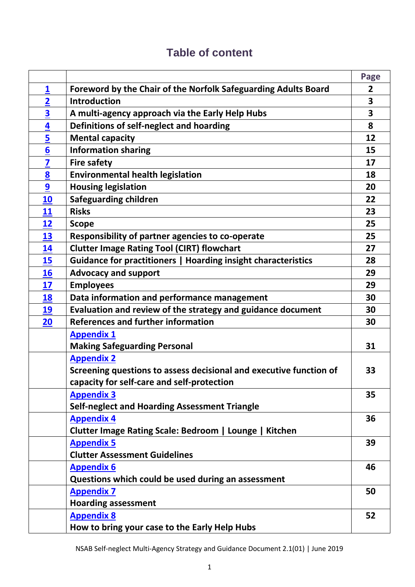|                         |                                                                    | Page           |
|-------------------------|--------------------------------------------------------------------|----------------|
| $\overline{\mathbf{1}}$ | Foreword by the Chair of the Norfolk Safeguarding Adults Board     | $\overline{2}$ |
| $\overline{2}$          | Introduction                                                       | 3              |
| $\overline{\mathbf{3}}$ | A multi-agency approach via the Early Help Hubs                    | 3              |
| $\overline{\mathbf{4}}$ | Definitions of self-neglect and hoarding                           | 8              |
| $\overline{5}$          | <b>Mental capacity</b>                                             | 12             |
| $6\overline{6}$         | <b>Information sharing</b>                                         | 15             |
| 7                       | <b>Fire safety</b>                                                 | 17             |
| 8                       | <b>Environmental health legislation</b>                            | 18             |
| 9                       | <b>Housing legislation</b>                                         | 20             |
| <u>10</u>               | <b>Safeguarding children</b>                                       | 22             |
| 11                      | <b>Risks</b>                                                       | 23             |
| 12                      | <b>Scope</b>                                                       | 25             |
| <u>13</u>               | Responsibility of partner agencies to co-operate                   | 25             |
| 14                      | <b>Clutter Image Rating Tool (CIRT) flowchart</b>                  | 27             |
| 15                      | Guidance for practitioners   Hoarding insight characteristics      | 28             |
| 16                      | <b>Advocacy and support</b>                                        | 29             |
| 17                      | <b>Employees</b>                                                   | 29             |
| 18                      | Data information and performance management                        | 30             |
| 19                      | Evaluation and review of the strategy and guidance document        | 30             |
| 20                      | <b>References and further information</b>                          | 30             |
|                         | <b>Appendix 1</b>                                                  |                |
|                         | <b>Making Safeguarding Personal</b>                                | 31             |
|                         | <b>Appendix 2</b>                                                  |                |
|                         | Screening questions to assess decisional and executive function of | 33             |
|                         | capacity for self-care and self-protection                         |                |
|                         | <b>Appendix 3</b>                                                  | 35             |
|                         | <b>Self-neglect and Hoarding Assessment Triangle</b>               |                |
|                         | <b>Appendix 4</b>                                                  | 36             |
|                         | Clutter Image Rating Scale: Bedroom   Lounge   Kitchen             |                |
|                         | <b>Appendix 5</b>                                                  | 39             |
|                         | <b>Clutter Assessment Guidelines</b>                               |                |
|                         | <b>Appendix 6</b>                                                  | 46             |
|                         | Questions which could be used during an assessment                 |                |
|                         | <b>Appendix 7</b>                                                  | 50             |
|                         | <b>Hoarding assessment</b>                                         |                |
|                         | <b>Appendix 8</b>                                                  | 52             |
|                         | How to bring your case to the Early Help Hubs                      |                |

# **Table of content**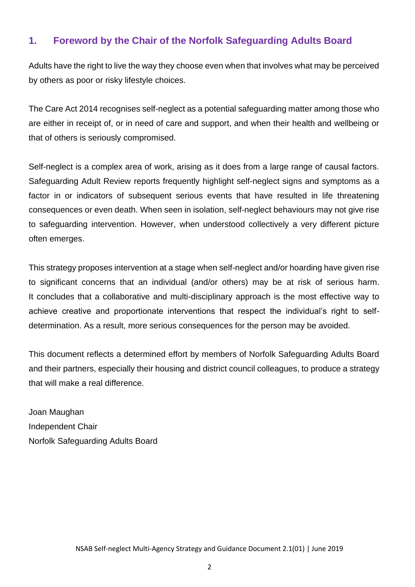### <span id="page-2-0"></span>**1. Foreword by the Chair of the Norfolk Safeguarding Adults Board**

Adults have the right to live the way they choose even when that involves what may be perceived by others as poor or risky lifestyle choices.

The Care Act 2014 recognises self-neglect as a potential safeguarding matter among those who are either in receipt of, or in need of care and support, and when their health and wellbeing or that of others is seriously compromised.

Self-neglect is a complex area of work, arising as it does from a large range of causal factors. Safeguarding Adult Review reports frequently highlight self-neglect signs and symptoms as a factor in or indicators of subsequent serious events that have resulted in life threatening consequences or even death. When seen in isolation, self-neglect behaviours may not give rise to safeguarding intervention. However, when understood collectively a very different picture often emerges.

This strategy proposes intervention at a stage when self-neglect and/or hoarding have given rise to significant concerns that an individual (and/or others) may be at risk of serious harm. It concludes that a collaborative and multi-disciplinary approach is the most effective way to achieve creative and proportionate interventions that respect the individual's right to selfdetermination. As a result, more serious consequences for the person may be avoided.

This document reflects a determined effort by members of Norfolk Safeguarding Adults Board and their partners, especially their housing and district council colleagues, to produce a strategy that will make a real difference.

Joan Maughan Independent Chair Norfolk Safeguarding Adults Board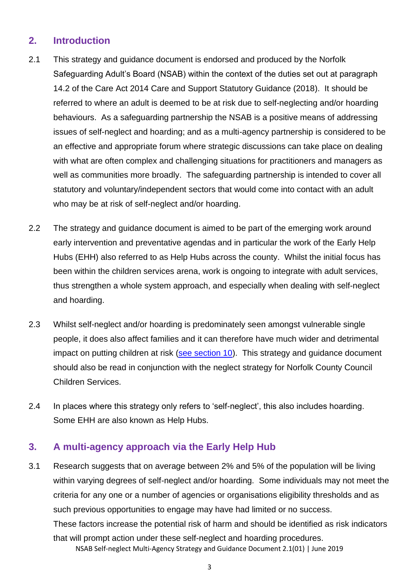### <span id="page-3-0"></span>**2. Introduction**

- 2.1 This strategy and guidance document is endorsed and produced by the Norfolk Safeguarding Adult's Board (NSAB) within the context of the duties set out at paragraph 14.2 of the Care Act 2014 Care and Support Statutory Guidance (2018). It should be referred to where an adult is deemed to be at risk due to self-neglecting and/or hoarding behaviours. As a safeguarding partnership the NSAB is a positive means of addressing issues of self-neglect and hoarding; and as a multi-agency partnership is considered to be an effective and appropriate forum where strategic discussions can take place on dealing with what are often complex and challenging situations for practitioners and managers as well as communities more broadly. The safeguarding partnership is intended to cover all statutory and voluntary/independent sectors that would come into contact with an adult who may be at risk of self-neglect and/or hoarding.
- 2.2 The strategy and guidance document is aimed to be part of the emerging work around early intervention and preventative agendas and in particular the work of the Early Help Hubs (EHH) also referred to as Help Hubs across the county. Whilst the initial focus has been within the children services arena, work is ongoing to integrate with adult services, thus strengthen a whole system approach, and especially when dealing with self-neglect and hoarding.
- 2.3 Whilst self-neglect and/or hoarding is predominately seen amongst vulnerable single people, it does also affect families and it can therefore have much wider and detrimental impact on putting children at risk [\(see section 10\)](#page-22-0). This strategy and guidance document should also be read in conjunction with the neglect strategy for Norfolk County Council Children Services.
- 2.4 In places where this strategy only refers to 'self-neglect', this also includes hoarding. Some EHH are also known as Help Hubs.

### <span id="page-3-1"></span>**3. A multi-agency approach via the Early Help Hub**

NSAB Self-neglect Multi-Agency Strategy and Guidance Document 2.1(01) | June 2019 3.1 Research suggests that on average between 2% and 5% of the population will be living within varying degrees of self-neglect and/or hoarding. Some individuals may not meet the criteria for any one or a number of agencies or organisations eligibility thresholds and as such previous opportunities to engage may have had limited or no success. These factors increase the potential risk of harm and should be identified as risk indicators that will prompt action under these self-neglect and hoarding procedures.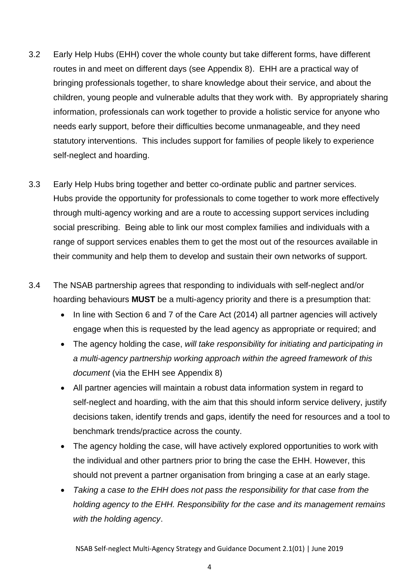- 3.2 Early Help Hubs (EHH) cover the whole county but take different forms, have different routes in and meet on different days (see Appendix 8). EHH are a practical way of bringing professionals together, to share knowledge about their service, and about the children, young people and vulnerable adults that they work with. By appropriately sharing information, professionals can work together to provide a holistic service for anyone who needs early support, before their difficulties become unmanageable, and they need statutory interventions. This includes support for families of people likely to experience self-neglect and hoarding.
- 3.3 Early Help Hubs bring together and better co-ordinate public and partner services. Hubs provide the opportunity for professionals to come together to work more effectively through multi-agency working and are a route to accessing support services including social prescribing. Being able to link our most complex families and individuals with a range of support services enables them to get the most out of the resources available in their community and help them to develop and sustain their own networks of support.
- 3.4 The NSAB partnership agrees that responding to individuals with self-neglect and/or hoarding behaviours **MUST** be a multi-agency priority and there is a presumption that:
	- In line with Section 6 and 7 of the Care Act (2014) all partner agencies will actively engage when this is requested by the lead agency as appropriate or required; and
	- The agency holding the case, *will take responsibility for initiating and participating in a multi-agency partnership working approach within the agreed framework of this document* (via the EHH see Appendix 8)
	- All partner agencies will maintain a robust data information system in regard to self-neglect and hoarding, with the aim that this should inform service delivery, justify decisions taken, identify trends and gaps, identify the need for resources and a tool to benchmark trends/practice across the county.
	- The agency holding the case, will have actively explored opportunities to work with the individual and other partners prior to bring the case the EHH. However, this should not prevent a partner organisation from bringing a case at an early stage.
	- *Taking a case to the EHH does not pass the responsibility for that case from the holding agency to the EHH. Responsibility for the case and its management remains with the holding agency*.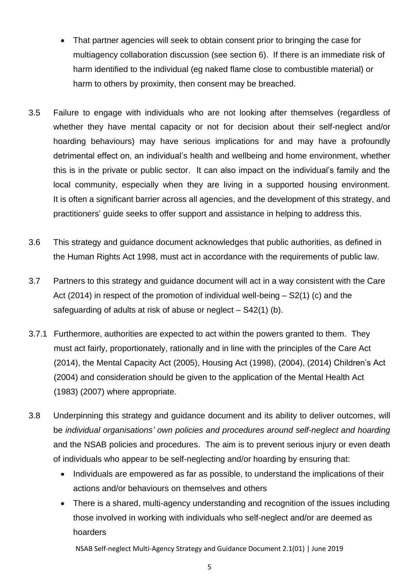- That partner agencies will seek to obtain consent prior to bringing the case for multiagency collaboration discussion (see section 6). If there is an immediate risk of harm identified to the individual (eg naked flame close to combustible material) or harm to others by proximity, then consent may be breached.
- 3.5 Failure to engage with individuals who are not looking after themselves (regardless of whether they have mental capacity or not for decision about their self-neglect and/or hoarding behaviours) may have serious implications for and may have a profoundly detrimental effect on, an individual's health and wellbeing and home environment, whether this is in the private or public sector. It can also impact on the individual's family and the local community, especially when they are living in a supported housing environment. It is often a significant barrier across all agencies, and the development of this strategy, and practitioners' guide seeks to offer support and assistance in helping to address this.
- 3.6 This strategy and guidance document acknowledges that public authorities, as defined in the Human Rights Act 1998, must act in accordance with the requirements of public law.
- 3.7 Partners to this strategy and guidance document will act in a way consistent with the Care Act (2014) in respect of the promotion of individual well-being – S2(1) (c) and the safeguarding of adults at risk of abuse or neglect – S42(1) (b).
- 3.7.1 Furthermore, authorities are expected to act within the powers granted to them. They must act fairly, proportionately, rationally and in line with the principles of the Care Act (2014), the Mental Capacity Act (2005), Housing Act (1998), (2004), (2014) Children's Act (2004) and consideration should be given to the application of the Mental Health Act (1983) (2007) where appropriate.
- 3.8 Underpinning this strategy and guidance document and its ability to deliver outcomes, will be *individual organisations' own policies and procedures around self-neglect and hoarding* and the NSAB policies and procedures. The aim is to prevent serious injury or even death of individuals who appear to be self-neglecting and/or hoarding by ensuring that:
	- Individuals are empowered as far as possible, to understand the implications of their actions and/or behaviours on themselves and others
	- There is a shared, multi-agency understanding and recognition of the issues including those involved in working with individuals who self-neglect and/or are deemed as hoarders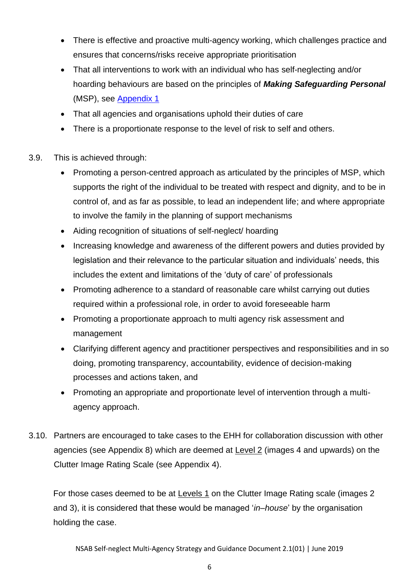- There is effective and proactive multi-agency working, which challenges practice and ensures that concerns/risks receive appropriate prioritisation
- That all interventions to work with an individual who has self-neglecting and/or hoarding behaviours are based on the principles of *Making Safeguarding Personal* (MSP), see Appendix 1
- That all agencies and organisations uphold their duties of care
- There is a proportionate response to the level of risk to self and others.
- 3.9. This is achieved through:
	- Promoting a person-centred approach as articulated by the principles of MSP, which supports the right of the individual to be treated with respect and dignity, and to be in control of, and as far as possible, to lead an independent life; and where appropriate to involve the family in the planning of support mechanisms
	- Aiding recognition of situations of self-neglect/ hoarding
	- Increasing knowledge and awareness of the different powers and duties provided by legislation and their relevance to the particular situation and individuals' needs, this includes the extent and limitations of the 'duty of care' of professionals
	- Promoting adherence to a standard of reasonable care whilst carrying out duties required within a professional role, in order to avoid foreseeable harm
	- Promoting a proportionate approach to multi agency risk assessment and management
	- Clarifying different agency and practitioner perspectives and responsibilities and in so doing, promoting transparency, accountability, evidence of decision-making processes and actions taken, and
	- Promoting an appropriate and proportionate level of intervention through a multiagency approach.
- 3.10. Partners are encouraged to take cases to the EHH for collaboration discussion with other agencies (see Appendix 8) which are deemed at Level 2 (images 4 and upwards) on the Clutter Image Rating Scale (see Appendix 4).

For those cases deemed to be at Levels 1 on the Clutter Image Rating scale (images 2 and 3), it is considered that these would be managed '*in–house*' by the organisation holding the case.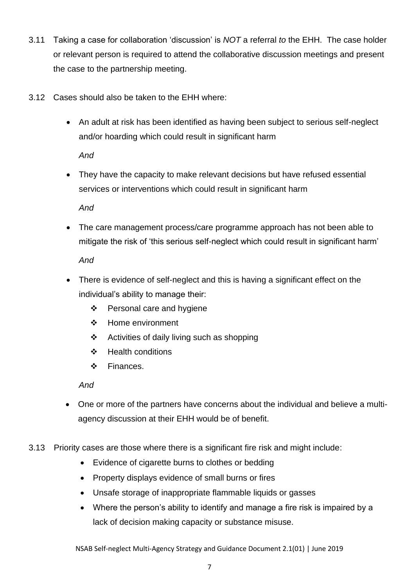- 3.11 Taking a case for collaboration 'discussion' is *NOT* a referral *to* the EHH. The case holder or relevant person is required to attend the collaborative discussion meetings and present the case to the partnership meeting.
- 3.12 Cases should also be taken to the EHH where:
	- An adult at risk has been identified as having been subject to serious self-neglect and/or hoarding which could result in significant harm

*And*

• They have the capacity to make relevant decisions but have refused essential services or interventions which could result in significant harm

*And*

• The care management process/care programme approach has not been able to mitigate the risk of 'this serious self-neglect which could result in significant harm'

*And* 

- There is evidence of self-neglect and this is having a significant effect on the individual's ability to manage their:
	- ❖ Personal care and hygiene
	- ❖ Home environment
	- ❖ Activities of daily living such as shopping
	- ❖ Health conditions
	- ❖ Finances.

*And*

- One or more of the partners have concerns about the individual and believe a multiagency discussion at their EHH would be of benefit.
- 3.13 Priority cases are those where there is a significant fire risk and might include:
	- Evidence of cigarette burns to clothes or bedding
	- Property displays evidence of small burns or fires
	- Unsafe storage of inappropriate flammable liquids or gasses
	- Where the person's ability to identify and manage a fire risk is impaired by a lack of decision making capacity or substance misuse.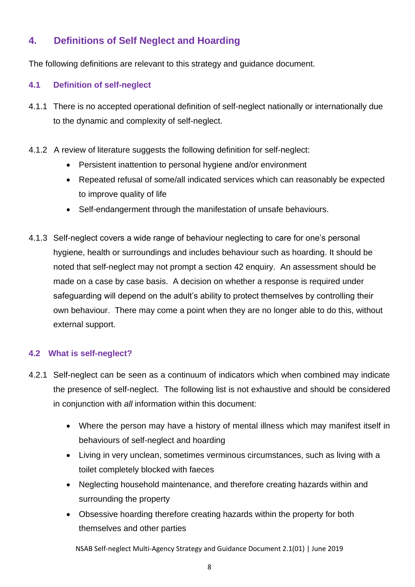### <span id="page-8-0"></span>**4. Definitions of Self Neglect and Hoarding**

The following definitions are relevant to this strategy and guidance document.

### **4.1 Definition of self-neglect**

- 4.1.1 There is no accepted operational definition of self-neglect nationally or internationally due to the dynamic and complexity of self-neglect.
- 4.1.2 A review of literature suggests the following definition for self-neglect:
	- Persistent inattention to personal hygiene and/or environment
	- Repeated refusal of some/all indicated services which can reasonably be expected to improve quality of life
	- Self-endangerment through the manifestation of unsafe behaviours.
- 4.1.3 Self-neglect covers a wide range of behaviour neglecting to care for one's personal hygiene, health or surroundings and includes behaviour such as hoarding. It should be noted that self-neglect may not prompt a section 42 enquiry. An assessment should be made on a case by case basis. A decision on whether a response is required under safeguarding will depend on the adult's ability to protect themselves by controlling their own behaviour. There may come a point when they are no longer able to do this, without external support.

### **4.2 What is self-neglect?**

- 4.2.1 Self-neglect can be seen as a continuum of indicators which when combined may indicate the presence of self-neglect. The following list is not exhaustive and should be considered in conjunction with *all* information within this document:
	- Where the person may have a history of mental illness which may manifest itself in behaviours of self-neglect and hoarding
	- Living in very unclean, sometimes verminous circumstances, such as living with a toilet completely blocked with faeces
	- Neglecting household maintenance, and therefore creating hazards within and surrounding the property
	- Obsessive hoarding therefore creating hazards within the property for both themselves and other parties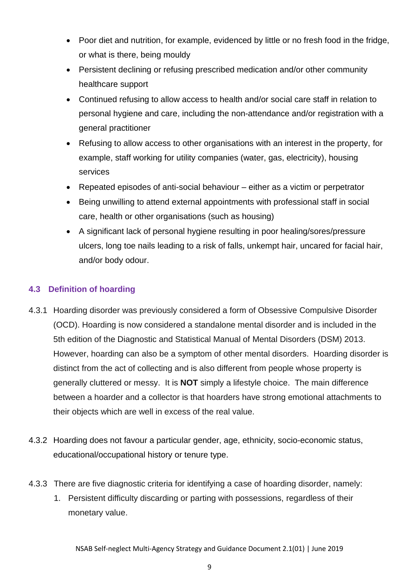- Poor diet and nutrition, for example, evidenced by little or no fresh food in the fridge, or what is there, being mouldy
- Persistent declining or refusing prescribed medication and/or other community healthcare support
- Continued refusing to allow access to health and/or social care staff in relation to personal hygiene and care, including the non-attendance and/or registration with a general practitioner
- Refusing to allow access to other organisations with an interest in the property, for example, staff working for utility companies (water, gas, electricity), housing services
- Repeated episodes of anti-social behaviour either as a victim or perpetrator
- Being unwilling to attend external appointments with professional staff in social care, health or other organisations (such as housing)
- A significant lack of personal hygiene resulting in poor healing/sores/pressure ulcers, long toe nails leading to a risk of falls, unkempt hair, uncared for facial hair, and/or body odour.

#### **4.3 Definition of hoarding**

- 4.3.1 Hoarding disorder was previously considered a form of Obsessive Compulsive Disorder (OCD). Hoarding is now considered a standalone mental disorder and is included in the 5th edition of the Diagnostic and Statistical Manual of Mental Disorders (DSM) 2013. However, hoarding can also be a symptom of other mental disorders. Hoarding disorder is distinct from the act of collecting and is also different from people whose property is generally cluttered or messy. It is **NOT** simply a lifestyle choice. The main difference between a hoarder and a collector is that hoarders have strong emotional attachments to their objects which are well in excess of the real value.
- 4.3.2 Hoarding does not favour a particular gender, age, ethnicity, socio-economic status, educational/occupational history or tenure type.
- 4.3.3 There are five diagnostic criteria for identifying a case of hoarding disorder, namely:
	- 1. Persistent difficulty discarding or parting with possessions, regardless of their monetary value.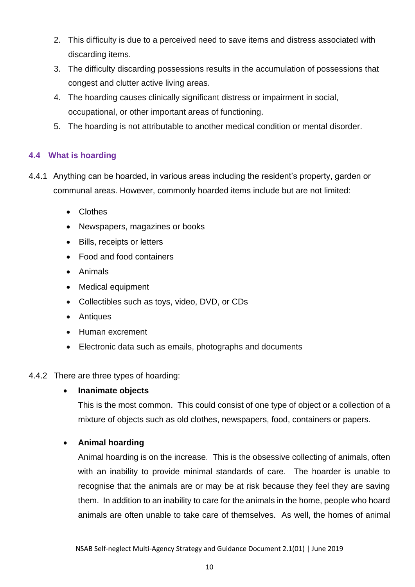- 2. This difficulty is due to a perceived need to save items and distress associated with discarding items.
- 3. The difficulty discarding possessions results in the accumulation of possessions that congest and clutter active living areas.
- 4. The hoarding causes clinically significant distress or impairment in social, occupational, or other important areas of functioning.
- 5. The hoarding is not attributable to another medical condition or mental disorder.

#### **4.4 What is hoarding**

- 4.4.1 Anything can be hoarded, in various areas including the resident's property, garden or communal areas. However, commonly hoarded items include but are not limited:
	- Clothes
	- Newspapers, magazines or books
	- Bills, receipts or letters
	- Food and food containers
	- Animals
	- Medical equipment
	- Collectibles such as toys, video, DVD, or CDs
	- Antiques
	- Human excrement
	- Electronic data such as emails, photographs and documents

#### 4.4.2 There are three types of hoarding:

### • **Inanimate objects**

This is the most common. This could consist of one type of object or a collection of a mixture of objects such as old clothes, newspapers, food, containers or papers.

### • **Animal hoarding**

Animal hoarding is on the increase. This is the obsessive collecting of animals, often with an inability to provide minimal standards of care. The hoarder is unable to recognise that the animals are or may be at risk because they feel they are saving them. In addition to an inability to care for the animals in the home, people who hoard animals are often unable to take care of themselves. As well, the homes of animal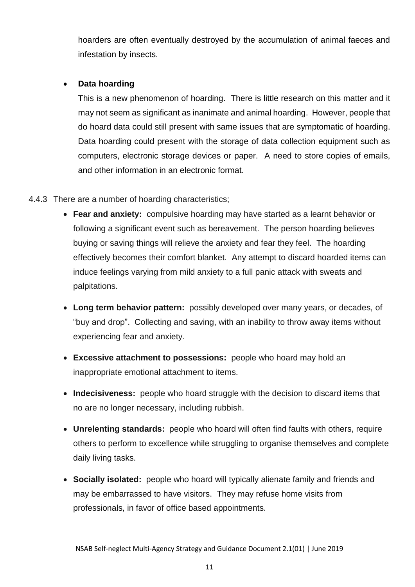hoarders are often eventually destroyed by the accumulation of animal faeces and infestation by insects.

#### • **Data hoarding**

This is a new phenomenon of hoarding. There is little research on this matter and it may not seem as significant as inanimate and animal hoarding. However, people that do hoard data could still present with same issues that are symptomatic of hoarding. Data hoarding could present with the storage of data collection equipment such as computers, electronic storage devices or paper. A need to store copies of emails, and other information in an electronic format.

#### 4.4.3 There are a number of hoarding characteristics;

- **Fear and anxiety:** compulsive hoarding may have started as a learnt behavior or following a significant event such as bereavement. The person hoarding believes buying or saving things will relieve the anxiety and fear they feel. The hoarding effectively becomes their comfort blanket. Any attempt to discard hoarded items can induce feelings varying from mild anxiety to a full panic attack with sweats and palpitations.
- **Long term behavior pattern:** possibly developed over many years, or decades, of "buy and drop". Collecting and saving, with an inability to throw away items without experiencing fear and anxiety.
- **Excessive attachment to possessions:** people who hoard may hold an inappropriate emotional attachment to items.
- **Indecisiveness:** people who hoard struggle with the decision to discard items that no are no longer necessary, including rubbish.
- **Unrelenting standards:** people who hoard will often find faults with others, require others to perform to excellence while struggling to organise themselves and complete daily living tasks.
- **Socially isolated:** people who hoard will typically alienate family and friends and may be embarrassed to have visitors. They may refuse home visits from professionals, in favor of office based appointments.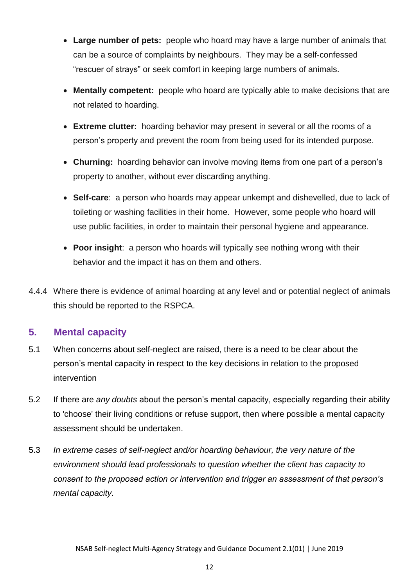- **Large number of pets:** people who hoard may have a large number of animals that can be a source of complaints by neighbours. They may be a self-confessed "rescuer of strays" or seek comfort in keeping large numbers of animals.
- **Mentally competent:** people who hoard are typically able to make decisions that are not related to hoarding.
- **Extreme clutter:** hoarding behavior may present in several or all the rooms of a person's property and prevent the room from being used for its intended purpose.
- **Churning:** hoarding behavior can involve moving items from one part of a person's property to another, without ever discarding anything.
- **Self-care**: a person who hoards may appear unkempt and dishevelled, due to lack of toileting or washing facilities in their home. However, some people who hoard will use public facilities, in order to maintain their personal hygiene and appearance.
- **Poor insight**: a person who hoards will typically see nothing wrong with their behavior and the impact it has on them and others.
- 4.4.4 Where there is evidence of animal hoarding at any level and or potential neglect of animals this should be reported to the RSPCA.

### <span id="page-12-0"></span>**5. Mental capacity**

- 5.1 When concerns about self-neglect are raised, there is a need to be clear about the person's mental capacity in respect to the key decisions in relation to the proposed intervention
- 5.2 If there are *any doubts* about the person's mental capacity, especially regarding their ability to 'choose' their living conditions or refuse support, then where possible a mental capacity assessment should be undertaken.
- 5.3 *In extreme cases of self-neglect and/or hoarding behaviour, the very nature of the environment should lead professionals to question whether the client has capacity to consent to the proposed action or intervention and trigger an assessment of that person's mental capacity*.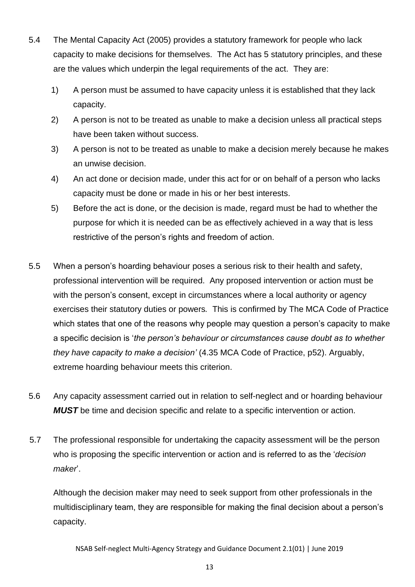- 5.4 The Mental Capacity Act (2005) provides a statutory framework for people who lack capacity to make decisions for themselves. The Act has 5 statutory principles, and these are the values which underpin the legal requirements of the act. They are:
	- 1) A person must be assumed to have capacity unless it is established that they lack capacity.
	- 2) A person is not to be treated as unable to make a decision unless all practical steps have been taken without success.
	- 3) A person is not to be treated as unable to make a decision merely because he makes an unwise decision.
	- 4) An act done or decision made, under this act for or on behalf of a person who lacks capacity must be done or made in his or her best interests.
	- 5) Before the act is done, or the decision is made, regard must be had to whether the purpose for which it is needed can be as effectively achieved in a way that is less restrictive of the person's rights and freedom of action.
- 5.5 When a person's hoarding behaviour poses a serious risk to their health and safety, professional intervention will be required. Any proposed intervention or action must be with the person's consent, except in circumstances where a local authority or agency exercises their statutory duties or powers*.* This is confirmed by The MCA Code of Practice which states that one of the reasons why people may question a person's capacity to make a specific decision is '*the person's behaviour or circumstances cause doubt as to whether they have capacity to make a decision'* (4.35 MCA Code of Practice, p52). Arguably, extreme hoarding behaviour meets this criterion.
- 5.6 Any capacity assessment carried out in relation to self-neglect and or hoarding behaviour *MUST* be time and decision specific and relate to a specific intervention or action.
- 5.7 The professional responsible for undertaking the capacity assessment will be the person who is proposing the specific intervention or action and is referred to as the '*decision maker*'.

Although the decision maker may need to seek support from other professionals in the multidisciplinary team, they are responsible for making the final decision about a person's capacity.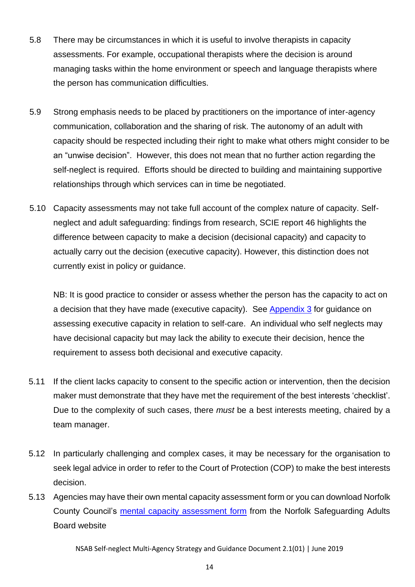- 5.8 There may be circumstances in which it is useful to involve therapists in capacity assessments. For example, occupational therapists where the decision is around managing tasks within the home environment or speech and language therapists where the person has communication difficulties.
- 5.9 Strong emphasis needs to be placed by practitioners on the importance of inter-agency communication, collaboration and the sharing of risk. The autonomy of an adult with capacity should be respected including their right to make what others might consider to be an "unwise decision". However, this does not mean that no further action regarding the self-neglect is required. Efforts should be directed to building and maintaining supportive relationships through which services can in time be negotiated.
- 5.10 Capacity assessments may not take full account of the complex nature of capacity. Selfneglect and adult safeguarding: findings from research, SCIE report 46 highlights the difference between capacity to make a decision (decisional capacity) and capacity to actually carry out the decision (executive capacity). However, this distinction does not currently exist in policy or guidance.

NB: It is good practice to consider or assess whether the person has the capacity to act on a decision that they have made (executive capacity). See Appendix 3 for guidance on assessing executive capacity in relation to self-care. An individual who self neglects may have decisional capacity but may lack the ability to execute their decision, hence the requirement to assess both decisional and executive capacity.

- 5.11 If the client lacks capacity to consent to the specific action or intervention, then the decision maker must demonstrate that they have met the requirement of the best interests 'checklist'. Due to the complexity of such cases, there *must* be a best interests meeting, chaired by a team manager.
- 5.12 In particularly challenging and complex cases, it may be necessary for the organisation to seek legal advice in order to refer to the Court of Protection (COP) to make the best interests decision.
- 5.13 Agencies may have their own mental capacity assessment form or you can download Norfolk County Council's [mental capacity assessment](https://www.norfolksafeguardingadultsboard.info/document/600/Mental-capacity-assessment-v2.pdf?t=c568961437b70e5e19ebd4ccf247d6919a679b62) form from the Norfolk Safeguarding Adults Board website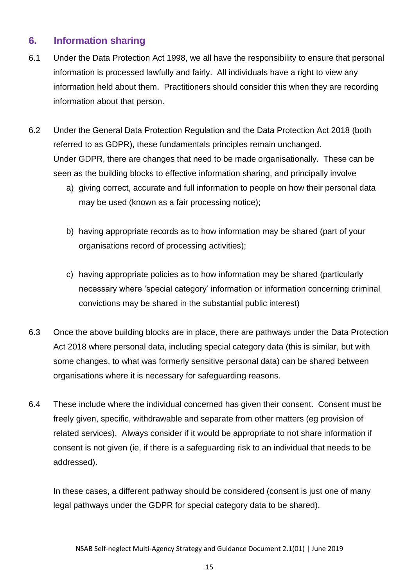### <span id="page-15-0"></span>**6. Information sharing**

- 6.1 Under the Data Protection Act 1998, we all have the responsibility to ensure that personal information is processed lawfully and fairly. All individuals have a right to view any information held about them. Practitioners should consider this when they are recording information about that person.
- 6.2 Under the General Data Protection Regulation and the Data Protection Act 2018 (both referred to as GDPR), these fundamentals principles remain unchanged. Under GDPR, there are changes that need to be made organisationally. These can be seen as the building blocks to effective information sharing, and principally involve
	- a) giving correct, accurate and full information to people on how their personal data may be used (known as a fair processing notice);
	- b) having appropriate records as to how information may be shared (part of your organisations record of processing activities);
	- c) having appropriate policies as to how information may be shared (particularly necessary where 'special category' information or information concerning criminal convictions may be shared in the substantial public interest)
- 6.3 Once the above building blocks are in place, there are pathways under the Data Protection Act 2018 where personal data, including special category data (this is similar, but with some changes, to what was formerly sensitive personal data) can be shared between organisations where it is necessary for safeguarding reasons.
- 6.4 These include where the individual concerned has given their consent. Consent must be freely given, specific, withdrawable and separate from other matters (eg provision of related services). Always consider if it would be appropriate to not share information if consent is not given (ie, if there is a safeguarding risk to an individual that needs to be addressed).

In these cases, a different pathway should be considered (consent is just one of many legal pathways under the GDPR for special category data to be shared).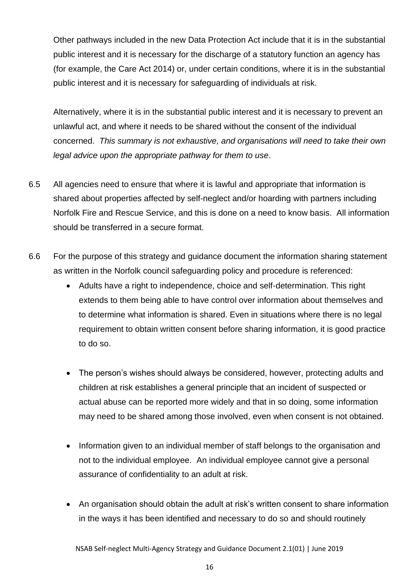Other pathways included in the new Data Protection Act include that it is in the substantial public interest and it is necessary for the discharge of a statutory function an agency has (for example, the Care Act 2014) or, under certain conditions, where it is in the substantial public interest and it is necessary for safeguarding of individuals at risk.

Alternatively, where it is in the substantial public interest and it is necessary to prevent an unlawful act, and where it needs to be shared without the consent of the individual concerned. *This summary is not exhaustive, and organisations will need to take their own legal advice upon the appropriate pathway for them to use*.

- 6.5 All agencies need to ensure that where it is lawful and appropriate that information is shared about properties affected by self-neglect and/or hoarding with partners including Norfolk Fire and Rescue Service, and this is done on a need to know basis. All information should be transferred in a secure format.
- 6.6 For the purpose of this strategy and guidance document the information sharing statement as written in the Norfolk council safeguarding policy and procedure is referenced:
	- Adults have a right to independence, choice and self-determination. This right extends to them being able to have control over information about themselves and to determine what information is shared. Even in situations where there is no legal requirement to obtain written consent before sharing information, it is good practice to do so.
	- The person's wishes should always be considered, however, protecting adults and children at risk establishes a general principle that an incident of suspected or actual abuse can be reported more widely and that in so doing, some information may need to be shared among those involved, even when consent is not obtained.
	- Information given to an individual member of staff belongs to the organisation and not to the individual employee. An individual employee cannot give a personal assurance of confidentiality to an adult at risk.
	- An organisation should obtain the adult at risk's written consent to share information in the ways it has been identified and necessary to do so and should routinely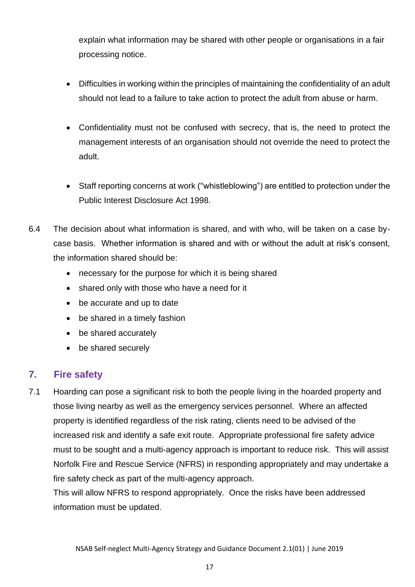explain what information may be shared with other people or organisations in a fair processing notice.

- Difficulties in working within the principles of maintaining the confidentiality of an adult should not lead to a failure to take action to protect the adult from abuse or harm.
- Confidentiality must not be confused with secrecy, that is, the need to protect the management interests of an organisation should not override the need to protect the adult.
- Staff reporting concerns at work ("whistleblowing") are entitled to protection under the Public Interest Disclosure Act 1998.
- 6.4 The decision about what information is shared, and with who, will be taken on a case bycase basis. Whether information is shared and with or without the adult at risk's consent, the information shared should be:
	- necessary for the purpose for which it is being shared
	- shared only with those who have a need for it
	- be accurate and up to date
	- be shared in a timely fashion
	- be shared accurately
	- be shared securely

### <span id="page-17-0"></span>**7. Fire safety**

7.1 Hoarding can pose a significant risk to both the people living in the hoarded property and those living nearby as well as the emergency services personnel. Where an affected property is identified regardless of the risk rating, clients need to be advised of the increased risk and identify a safe exit route. Appropriate professional fire safety advice must to be sought and a multi-agency approach is important to reduce risk. This will assist Norfolk Fire and Rescue Service (NFRS) in responding appropriately and may undertake a fire safety check as part of the multi-agency approach.

<span id="page-17-1"></span>This will allow NFRS to respond appropriately. Once the risks have been addressed information must be updated.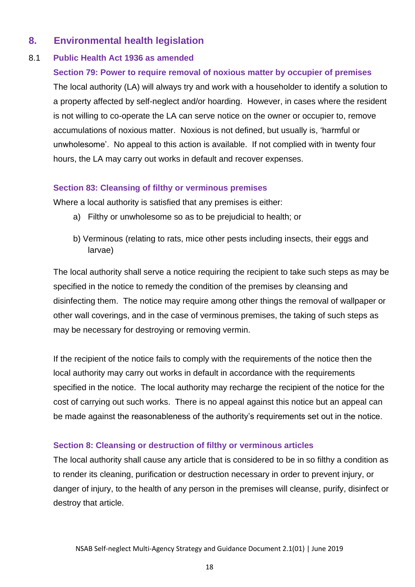### **8. Environmental health legislation**

#### 8.1 **Public Health Act 1936 as amended**

#### **Section 79: Power to require removal of noxious matter by occupier of premises**

The local authority (LA) will always try and work with a householder to identify a solution to a property affected by self-neglect and/or hoarding. However, in cases where the resident is not willing to co-operate the LA can serve notice on the owner or occupier to, remove accumulations of noxious matter. Noxious is not defined, but usually is, 'harmful or unwholesome'. No appeal to this action is available. If not complied with in twenty four hours, the LA may carry out works in default and recover expenses.

#### **Section 83: Cleansing of filthy or verminous premises**

Where a local authority is satisfied that any premises is either:

- a) Filthy or unwholesome so as to be prejudicial to health; or
- b) Verminous (relating to rats, mice other pests including insects, their eggs and larvae)

The local authority shall serve a notice requiring the recipient to take such steps as may be specified in the notice to remedy the condition of the premises by cleansing and disinfecting them. The notice may require among other things the removal of wallpaper or other wall coverings, and in the case of verminous premises, the taking of such steps as may be necessary for destroying or removing vermin.

If the recipient of the notice fails to comply with the requirements of the notice then the local authority may carry out works in default in accordance with the requirements specified in the notice. The local authority may recharge the recipient of the notice for the cost of carrying out such works. There is no appeal against this notice but an appeal can be made against the reasonableness of the authority's requirements set out in the notice.

#### **Section 8: Cleansing or destruction of filthy or verminous articles**

The local authority shall cause any article that is considered to be in so filthy a condition as to render its cleaning, purification or destruction necessary in order to prevent injury, or danger of injury, to the health of any person in the premises will cleanse, purify, disinfect or destroy that article.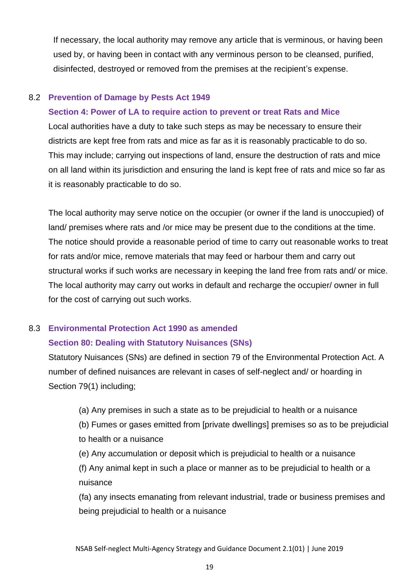If necessary, the local authority may remove any article that is verminous, or having been used by, or having been in contact with any verminous person to be cleansed, purified, disinfected, destroyed or removed from the premises at the recipient's expense.

#### 8.2 **Prevention of Damage by Pests Act 1949**

#### **Section 4: Power of LA to require action to prevent or treat Rats and Mice**

Local authorities have a duty to take such steps as may be necessary to ensure their districts are kept free from rats and mice as far as it is reasonably practicable to do so. This may include; carrying out inspections of land, ensure the destruction of rats and mice on all land within its jurisdiction and ensuring the land is kept free of rats and mice so far as it is reasonably practicable to do so.

The local authority may serve notice on the occupier (or owner if the land is unoccupied) of land/ premises where rats and /or mice may be present due to the conditions at the time. The notice should provide a reasonable period of time to carry out reasonable works to treat for rats and/or mice, remove materials that may feed or harbour them and carry out structural works if such works are necessary in keeping the land free from rats and/ or mice. The local authority may carry out works in default and recharge the occupier/ owner in full for the cost of carrying out such works.

#### 8.3 **Environmental Protection Act 1990 as amended**

#### **Section 80: Dealing with Statutory Nuisances (SNs)**

Statutory Nuisances (SNs) are defined in section 79 of the Environmental Protection Act. A number of defined nuisances are relevant in cases of self-neglect and/ or hoarding in Section 79(1) including;

(a) Any premises in such a state as to be prejudicial to health or a nuisance

(b) Fumes or gases emitted from [private dwellings] premises so as to be prejudicial to health or a nuisance

(e) Any accumulation or deposit which is prejudicial to health or a nuisance

(f) Any animal kept in such a place or manner as to be prejudicial to health or a nuisance

(fa) any insects emanating from relevant industrial, trade or business premises and being prejudicial to health or a nuisance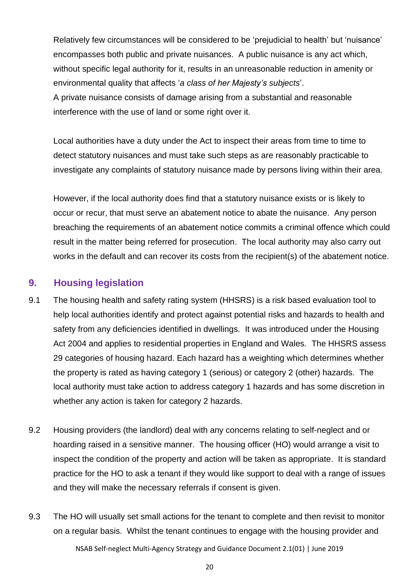Relatively few circumstances will be considered to be 'prejudicial to health' but 'nuisance' encompasses both public and private nuisances. A public nuisance is any act which, without specific legal authority for it, results in an unreasonable reduction in amenity or environmental quality that affects '*a class of her Majesty's subjects*'. A private nuisance consists of damage arising from a substantial and reasonable interference with the use of land or some right over it.

Local authorities have a duty under the Act to inspect their areas from time to time to detect statutory nuisances and must take such steps as are reasonably practicable to investigate any complaints of statutory nuisance made by persons living within their area.

However, if the local authority does find that a statutory nuisance exists or is likely to occur or recur, that must serve an abatement notice to abate the nuisance. Any person breaching the requirements of an abatement notice commits a criminal offence which could result in the matter being referred for prosecution. The local authority may also carry out works in the default and can recover its costs from the recipient(s) of the abatement notice.

### <span id="page-20-0"></span>**9. Housing legislation**

- 9.1 The housing health and safety rating system (HHSRS) is a risk based evaluation tool to help local authorities identify and protect against potential risks and hazards to health and safety from any deficiencies identified in dwellings. It was introduced under the Housing Act 2004 and applies to residential properties in England and Wales. The HHSRS assess 29 categories of housing hazard. Each hazard has a weighting which determines whether the property is rated as having category 1 (serious) or category 2 (other) hazards. The local authority must take action to address category 1 hazards and has some discretion in whether any action is taken for category 2 hazards.
- 9.2 Housing providers (the landlord) deal with any concerns relating to self-neglect and or hoarding raised in a sensitive manner. The housing officer (HO) would arrange a visit to inspect the condition of the property and action will be taken as appropriate. It is standard practice for the HO to ask a tenant if they would like support to deal with a range of issues and they will make the necessary referrals if consent is given.
- NSAB Self-neglect Multi-Agency Strategy and Guidance Document 2.1(01) | June 2019 9.3 The HO will usually set small actions for the tenant to complete and then revisit to monitor on a regular basis. Whilst the tenant continues to engage with the housing provider and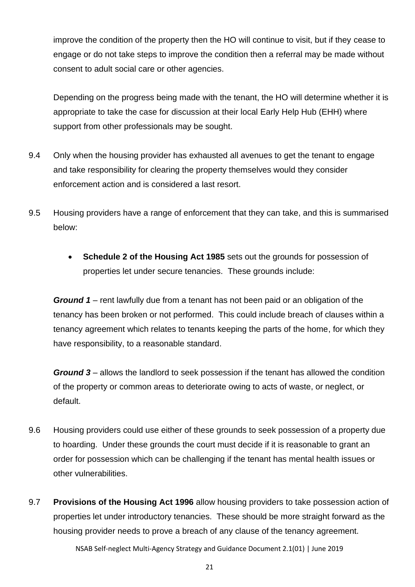improve the condition of the property then the HO will continue to visit, but if they cease to engage or do not take steps to improve the condition then a referral may be made without consent to adult social care or other agencies.

Depending on the progress being made with the tenant, the HO will determine whether it is appropriate to take the case for discussion at their local Early Help Hub (EHH) where support from other professionals may be sought.

- 9.4 Only when the housing provider has exhausted all avenues to get the tenant to engage and take responsibility for clearing the property themselves would they consider enforcement action and is considered a last resort.
- 9.5 Housing providers have a range of enforcement that they can take, and this is summarised below:
	- **Schedule 2 of the Housing Act 1985** sets out the grounds for possession of properties let under secure tenancies. These grounds include:

*Ground 1* – rent lawfully due from a tenant has not been paid or an obligation of the tenancy has been broken or not performed. This could include breach of clauses within a tenancy agreement which relates to tenants keeping the parts of the home, for which they have responsibility, to a reasonable standard.

*Ground 3* – allows the landlord to seek possession if the tenant has allowed the condition of the property or common areas to deteriorate owing to acts of waste, or neglect, or default.

- 9.6 Housing providers could use either of these grounds to seek possession of a property due to hoarding. Under these grounds the court must decide if it is reasonable to grant an order for possession which can be challenging if the tenant has mental health issues or other vulnerabilities.
- 9.7 **Provisions of the Housing Act 1996** allow housing providers to take possession action of properties let under introductory tenancies. These should be more straight forward as the housing provider needs to prove a breach of any clause of the tenancy agreement.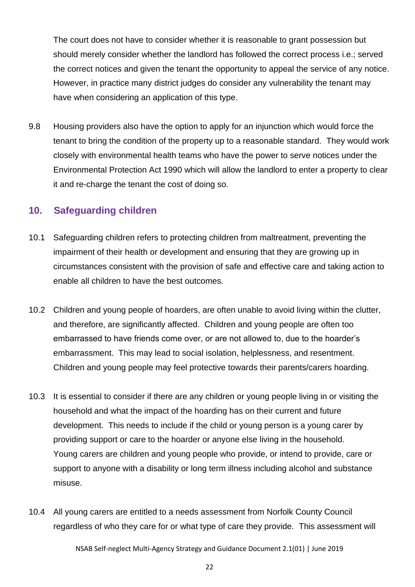The court does not have to consider whether it is reasonable to grant possession but should merely consider whether the landlord has followed the correct process i.e.; served the correct notices and given the tenant the opportunity to appeal the service of any notice. However, in practice many district judges do consider any vulnerability the tenant may have when considering an application of this type.

9.8 Housing providers also have the option to apply for an injunction which would force the tenant to bring the condition of the property up to a reasonable standard. They would work closely with environmental health teams who have the power to serve notices under the Environmental Protection Act 1990 which will allow the landlord to enter a property to clear it and re-charge the tenant the cost of doing so.

### <span id="page-22-0"></span>**10. Safeguarding children**

- 10.1 Safeguarding children refers to protecting children from maltreatment, preventing the impairment of their health or development and ensuring that they are growing up in circumstances consistent with the provision of safe and effective care and taking action to enable all children to have the best outcomes.
- 10.2 Children and young people of hoarders, are often unable to avoid living within the clutter, and therefore, are significantly affected. Children and young people are often too embarrassed to have friends come over, or are not allowed to, due to the hoarder's embarrassment. This may lead to social isolation, helplessness, and resentment. Children and young people may feel protective towards their parents/carers hoarding.
- 10.3 It is essential to consider if there are any children or young people living in or visiting the household and what the impact of the hoarding has on their current and future development. This needs to include if the child or young person is a young carer by providing support or care to the hoarder or anyone else living in the household. Young carers are children and young people who provide, or intend to provide, care or support to anyone with a disability or long term illness including alcohol and substance misuse.
- 10.4 All young carers are entitled to a needs assessment from Norfolk County Council regardless of who they care for or what type of care they provide. This assessment will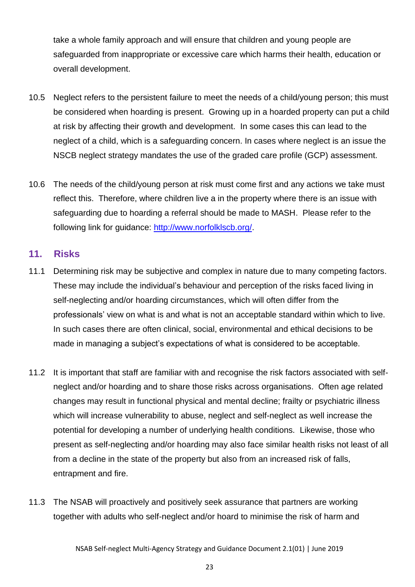take a whole family approach and will ensure that children and young people are safeguarded from inappropriate or excessive care which harms their health, education or overall development.

- 10.5 Neglect refers to the persistent failure to meet the needs of a child/young person; this must be considered when hoarding is present. Growing up in a hoarded property can put a child at risk by affecting their growth and development. In some cases this can lead to the neglect of a child, which is a safeguarding concern. In cases where neglect is an issue the NSCB neglect strategy mandates the use of the graded care profile (GCP) assessment.
- 10.6 The needs of the child/young person at risk must come first and any actions we take must reflect this. Therefore, where children live a in the property where there is an issue with safeguarding due to hoarding a referral should be made to MASH. Please refer to the following link for guidance: [http://www.norfolklscb.org/.](http://www.norfolklscb.org/)

### <span id="page-23-0"></span>**11. Risks**

- 11.1 Determining risk may be subjective and complex in nature due to many competing factors. These may include the individual's behaviour and perception of the risks faced living in self-neglecting and/or hoarding circumstances, which will often differ from the professionals' view on what is and what is not an acceptable standard within which to live. In such cases there are often clinical, social, environmental and ethical decisions to be made in managing a subject's expectations of what is considered to be acceptable.
- 11.2 It is important that staff are familiar with and recognise the risk factors associated with selfneglect and/or hoarding and to share those risks across organisations. Often age related changes may result in functional physical and mental decline; frailty or psychiatric illness which will increase vulnerability to abuse, neglect and self-neglect as well increase the potential for developing a number of underlying health conditions. Likewise, those who present as self-neglecting and/or hoarding may also face similar health risks not least of all from a decline in the state of the property but also from an increased risk of falls, entrapment and fire.
- 11.3 The NSAB will proactively and positively seek assurance that partners are working together with adults who self-neglect and/or hoard to minimise the risk of harm and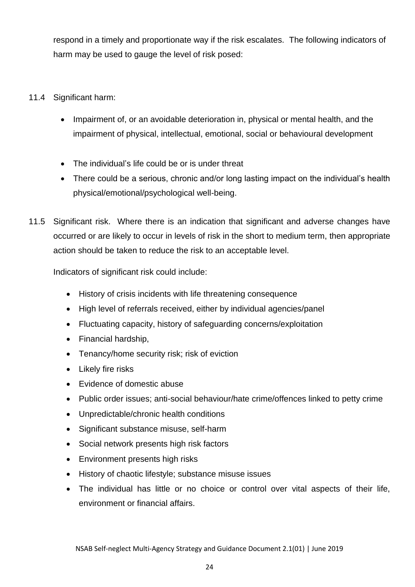respond in a timely and proportionate way if the risk escalates. The following indicators of harm may be used to gauge the level of risk posed:

- 11.4 Significant harm:
	- Impairment of, or an avoidable deterioration in, physical or mental health, and the impairment of physical, intellectual, emotional, social or behavioural development
	- The individual's life could be or is under threat
	- There could be a serious, chronic and/or long lasting impact on the individual's health physical/emotional/psychological well-being.
- 11.5 Significant risk. Where there is an indication that significant and adverse changes have occurred or are likely to occur in levels of risk in the short to medium term, then appropriate action should be taken to reduce the risk to an acceptable level.

Indicators of significant risk could include:

- History of crisis incidents with life threatening consequence
- High level of referrals received, either by individual agencies/panel
- Fluctuating capacity, history of safeguarding concerns/exploitation
- Financial hardship,
- Tenancy/home security risk; risk of eviction
- Likely fire risks
- Evidence of domestic abuse
- Public order issues; anti-social behaviour/hate crime/offences linked to petty crime
- Unpredictable/chronic health conditions
- Significant substance misuse, self-harm
- Social network presents high risk factors
- Environment presents high risks
- History of chaotic lifestyle; substance misuse issues
- The individual has little or no choice or control over vital aspects of their life, environment or financial affairs.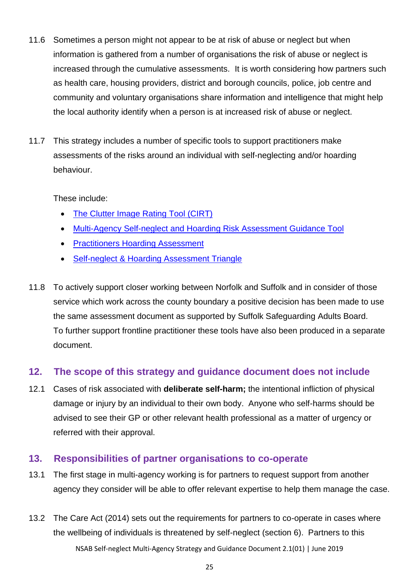- 11.6 Sometimes a person might not appear to be at risk of abuse or neglect but when information is gathered from a number of organisations the risk of abuse or neglect is increased through the cumulative assessments. It is worth considering how partners such as health care, housing providers, district and borough councils, police, job centre and community and voluntary organisations share information and intelligence that might help the local authority identify when a person is at increased risk of abuse or neglect.
- 11.7 This strategy includes a number of specific tools to support practitioners make assessments of the risks around an individual with self-neglecting and/or hoarding behaviour.

These include:

- [The Clutter Image Rating Tool \(CIRT\)](#page-36-0)
- [Multi-Agency Self-neglect and Hoarding Risk Assessment Guidance Tool](#page-46-0)
- [Practitioners Hoarding Assessment](#page-50-0)
- [Self-neglect & Hoarding Assessment Triangle](#page-35-0)
- 11.8 To actively support closer working between Norfolk and Suffolk and in consider of those service which work across the county boundary a positive decision has been made to use the same assessment document as supported by Suffolk Safeguarding Adults Board. To further support frontline practitioner these tools have also been produced in a separate document.

### <span id="page-25-0"></span>**12. The scope of this strategy and guidance document does not include**

12.1 Cases of risk associated with **deliberate self-harm;** the intentional infliction of physical damage or injury by an individual to their own body. Anyone who self-harms should be advised to see their GP or other relevant health professional as a matter of urgency or referred with their approval.

### <span id="page-25-1"></span>**13. Responsibilities of partner organisations to co-operate**

- 13.1 The first stage in multi-agency working is for partners to request support from another agency they consider will be able to offer relevant expertise to help them manage the case.
- NSAB Self-neglect Multi-Agency Strategy and Guidance Document 2.1(01) | June 2019 13.2 The Care Act (2014) sets out the requirements for partners to co-operate in cases where the wellbeing of individuals is threatened by self-neglect (section 6). Partners to this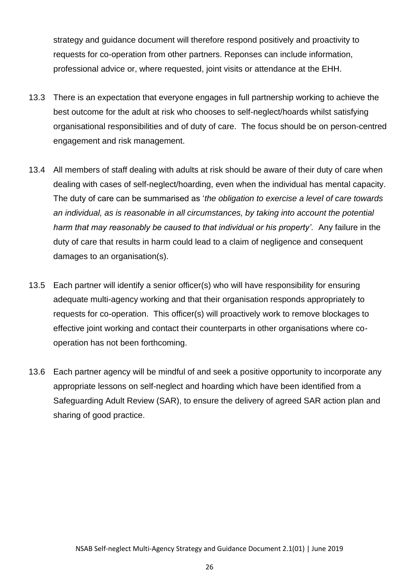strategy and guidance document will therefore respond positively and proactivity to requests for co-operation from other partners. Reponses can include information, professional advice or, where requested, joint visits or attendance at the EHH.

- 13.3 There is an expectation that everyone engages in full partnership working to achieve the best outcome for the adult at risk who chooses to self-neglect/hoards whilst satisfying organisational responsibilities and of duty of care. The focus should be on person-centred engagement and risk management.
- 13.4 All members of staff dealing with adults at risk should be aware of their duty of care when dealing with cases of self-neglect/hoarding, even when the individual has mental capacity. The duty of care can be summarised as '*the obligation to exercise a level of care towards an individual, as is reasonable in all circumstances, by taking into account the potential harm that may reasonably be caused to that individual or his property'.* Any failure in the duty of care that results in harm could lead to a claim of negligence and consequent damages to an organisation(s).
- 13.5 Each partner will identify a senior officer(s) who will have responsibility for ensuring adequate multi-agency working and that their organisation responds appropriately to requests for co-operation. This officer(s) will proactively work to remove blockages to effective joint working and contact their counterparts in other organisations where cooperation has not been forthcoming.
- 13.6 Each partner agency will be mindful of and seek a positive opportunity to incorporate any appropriate lessons on self-neglect and hoarding which have been identified from a Safeguarding Adult Review (SAR), to ensure the delivery of agreed SAR action plan and sharing of good practice.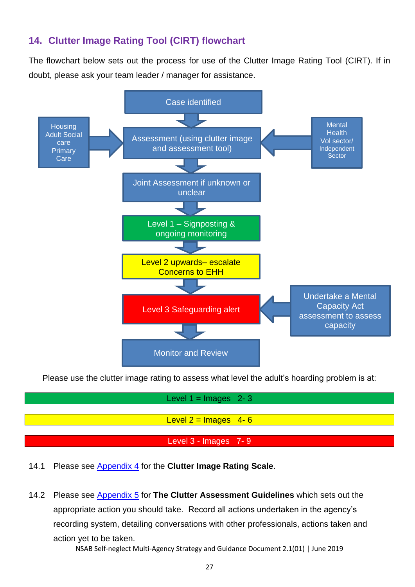### <span id="page-27-0"></span>**14. Clutter Image Rating Tool (CIRT) flowchart**

The flowchart below sets out the process for use of the Clutter Image Rating Tool (CIRT). If in doubt, please ask your team leader / manager for assistance.



Please use the clutter image rating to assess what level the adult's hoarding problem is at:

| Level $1 = \text{Images } 2 - 3$ |
|----------------------------------|
|                                  |
| Level $2 =$ Images 4-6           |
|                                  |
| Level $3$ - Images $7 - 9$       |

# 14.1 Please see Appendix 4 for the **Clutter Image Rating Scale**.

14.2 Please see Appendix 5 for **The Clutter Assessment Guidelines** which sets out the appropriate action you should take. Record all actions undertaken in the agency's recording system, detailing conversations with other professionals, actions taken and action yet to be taken.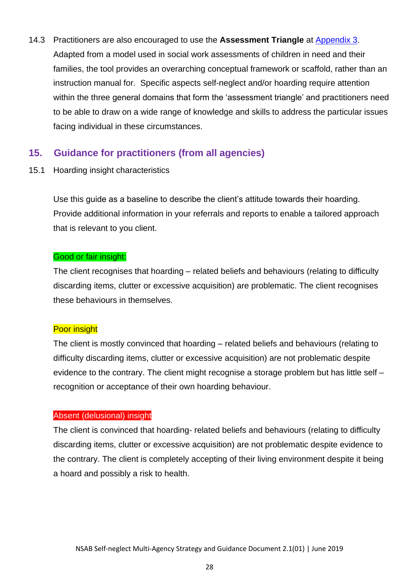14.3 Practitioners are also encouraged to use the **Assessment Triangle** at [Appendix 3.](#page-35-0) Adapted from a model used in social work assessments of children in need and their families, the tool provides an overarching conceptual framework or scaffold, rather than an instruction manual for. Specific aspects self-neglect and/or hoarding require attention within the three general domains that form the 'assessment triangle' and practitioners need to be able to draw on a wide range of knowledge and skills to address the particular issues facing individual in these circumstances.

### <span id="page-28-0"></span>**15. Guidance for practitioners (from all agencies)**

15.1 Hoarding insight characteristics

Use this guide as a baseline to describe the client's attitude towards their hoarding. Provide additional information in your referrals and reports to enable a tailored approach that is relevant to you client.

#### Good or fair insight:

The client recognises that hoarding – related beliefs and behaviours (relating to difficulty discarding items, clutter or excessive acquisition) are problematic. The client recognises these behaviours in themselves.

#### Poor insight

The client is mostly convinced that hoarding – related beliefs and behaviours (relating to difficulty discarding items, clutter or excessive acquisition) are not problematic despite evidence to the contrary. The client might recognise a storage problem but has little self – recognition or acceptance of their own hoarding behaviour.

#### Absent (delusional) insight

The client is convinced that hoarding- related beliefs and behaviours (relating to difficulty discarding items, clutter or excessive acquisition) are not problematic despite evidence to the contrary. The client is completely accepting of their living environment despite it being a hoard and possibly a risk to health.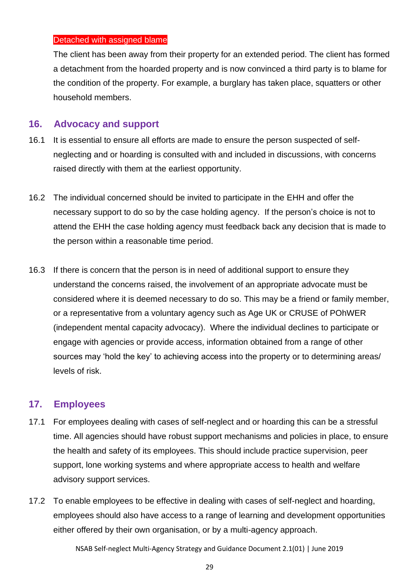#### Detached with assigned blame

The client has been away from their property for an extended period. The client has formed a detachment from the hoarded property and is now convinced a third party is to blame for the condition of the property. For example, a burglary has taken place, squatters or other household members.

#### <span id="page-29-0"></span>**16. Advocacy and support**

- 16.1 It is essential to ensure all efforts are made to ensure the person suspected of selfneglecting and or hoarding is consulted with and included in discussions, with concerns raised directly with them at the earliest opportunity.
- 16.2 The individual concerned should be invited to participate in the EHH and offer the necessary support to do so by the case holding agency. If the person's choice is not to attend the EHH the case holding agency must feedback back any decision that is made to the person within a reasonable time period.
- 16.3 If there is concern that the person is in need of additional support to ensure they understand the concerns raised, the involvement of an appropriate advocate must be considered where it is deemed necessary to do so. This may be a friend or family member, or a representative from a voluntary agency such as Age UK or CRUSE of POhWER (independent mental capacity advocacy). Where the individual declines to participate or engage with agencies or provide access, information obtained from a range of other sources may 'hold the key' to achieving access into the property or to determining areas/ levels of risk.

### <span id="page-29-1"></span>**17. Employees**

- 17.1 For employees dealing with cases of self-neglect and or hoarding this can be a stressful time. All agencies should have robust support mechanisms and policies in place, to ensure the health and safety of its employees. This should include practice supervision, peer support, lone working systems and where appropriate access to health and welfare advisory support services.
- 17.2 To enable employees to be effective in dealing with cases of self-neglect and hoarding, employees should also have access to a range of learning and development opportunities either offered by their own organisation, or by a multi-agency approach.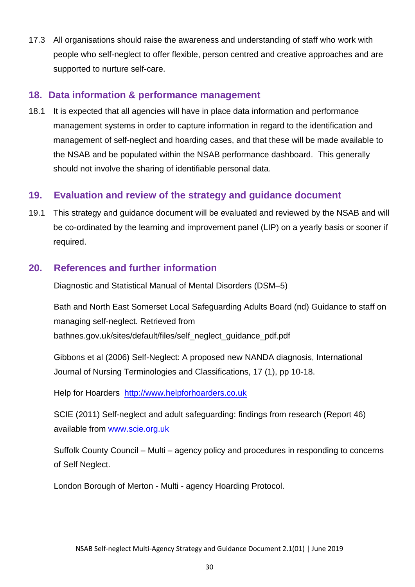17.3 All organisations should raise the awareness and understanding of staff who work with people who self-neglect to offer flexible, person centred and creative approaches and are supported to nurture self-care.

### <span id="page-30-0"></span>**18. Data information & performance management**

18.1 It is expected that all agencies will have in place data information and performance management systems in order to capture information in regard to the identification and management of self-neglect and hoarding cases, and that these will be made available to the NSAB and be populated within the NSAB performance dashboard. This generally should not involve the sharing of identifiable personal data.

### <span id="page-30-1"></span>**19. Evaluation and review of the strategy and guidance document**

19.1 This strategy and guidance document will be evaluated and reviewed by the NSAB and will be co-ordinated by the learning and improvement panel (LIP) on a yearly basis or sooner if required.

### <span id="page-30-2"></span>**20. References and further information**

Diagnostic and Statistical Manual of Mental Disorders (DSM–5)

Bath and North East Somerset Local Safeguarding Adults Board (nd) Guidance to staff on managing self-neglect. Retrieved from bathnes.gov.uk/sites/default/files/self\_neglect\_guidance\_pdf.pdf

Gibbons et al (2006) Self-Neglect: A proposed new NANDA diagnosis, International Journal of Nursing Terminologies and Classifications, 17 (1), pp 10-18.

Help for Hoarders [http://www.helpforhoarders.co.uk](http://www.helpforhoarders.co.uk/)

SCIE (2011) Self-neglect and adult safeguarding: findings from research (Report 46) available from [www.scie.org.uk](http://www.scie.org.uk/)

Suffolk County Council – Multi – agency policy and procedures in responding to concerns of Self Neglect.

London Borough of Merton - Multi - agency Hoarding Protocol.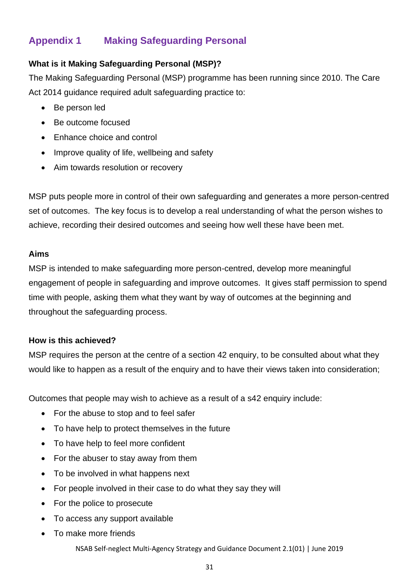### <span id="page-31-0"></span>**Appendix 1 Making Safeguarding Personal**

### **What is it Making Safeguarding Personal (MSP)?**

The Making Safeguarding Personal (MSP) programme has been running since 2010. The Care Act 2014 guidance required adult safeguarding practice to:

- Be person led
- Be outcome focused
- Enhance choice and control
- Improve quality of life, wellbeing and safety
- Aim towards resolution or recovery

MSP puts people more in control of their own safeguarding and generates a more person-centred set of outcomes. The key focus is to develop a real understanding of what the person wishes to achieve, recording their desired outcomes and seeing how well these have been met.

#### **Aims**

MSP is intended to make safeguarding more person-centred, develop more meaningful engagement of people in safeguarding and improve outcomes. It gives staff permission to spend time with people, asking them what they want by way of outcomes at the beginning and throughout the safeguarding process.

#### **How is this achieved?**

MSP requires the person at the centre of a section 42 enquiry, to be consulted about what they would like to happen as a result of the enquiry and to have their views taken into consideration;

Outcomes that people may wish to achieve as a result of a s42 enquiry include:

- For the abuse to stop and to feel safer
- To have help to protect themselves in the future
- To have help to feel more confident
- For the abuser to stay away from them
- To be involved in what happens next
- For people involved in their case to do what they say they will
- For the police to prosecute
- To access any support available
- To make more friends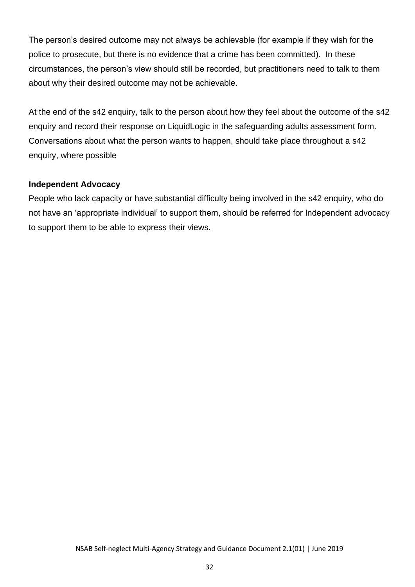The person's desired outcome may not always be achievable (for example if they wish for the police to prosecute, but there is no evidence that a crime has been committed). In these circumstances, the person's view should still be recorded, but practitioners need to talk to them about why their desired outcome may not be achievable.

At the end of the s42 enquiry, talk to the person about how they feel about the outcome of the s42 enquiry and record their response on LiquidLogic in the safeguarding adults assessment form. Conversations about what the person wants to happen, should take place throughout a s42 enquiry, where possible

#### **Independent Advocacy**

People who lack capacity or have substantial difficulty being involved in the s42 enquiry, who do not have an 'appropriate individual' to support them, should be referred for Independent advocacy to support them to be able to express their views.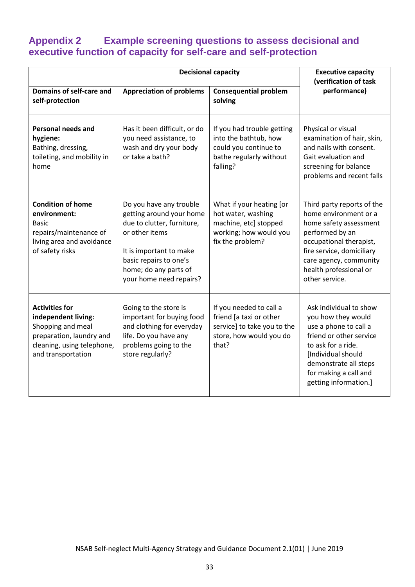### <span id="page-33-0"></span>**Appendix 2 Example screening questions to assess decisional and executive function of capacity for self-care and self-protection**

| <b>Decisional capacity</b>                                                                                                                        |                                                                                                                                                                                                              |                                                                                                                       | <b>Executive capacity</b><br>(verification of task                                                                                                                                                                             |  |
|---------------------------------------------------------------------------------------------------------------------------------------------------|--------------------------------------------------------------------------------------------------------------------------------------------------------------------------------------------------------------|-----------------------------------------------------------------------------------------------------------------------|--------------------------------------------------------------------------------------------------------------------------------------------------------------------------------------------------------------------------------|--|
| Domains of self-care and<br>self-protection                                                                                                       | <b>Appreciation of problems</b>                                                                                                                                                                              | <b>Consequential problem</b><br>solving                                                                               | performance)                                                                                                                                                                                                                   |  |
| <b>Personal needs and</b><br>hygiene:<br>Bathing, dressing,<br>toileting, and mobility in<br>home                                                 | Has it been difficult, or do<br>you need assistance, to<br>wash and dry your body<br>or take a bath?                                                                                                         | If you had trouble getting<br>into the bathtub, how<br>could you continue to<br>bathe regularly without<br>falling?   | Physical or visual<br>examination of hair, skin,<br>and nails with consent.<br>Gait evaluation and<br>screening for balance<br>problems and recent falls                                                                       |  |
| <b>Condition of home</b><br>environment:<br><b>Basic</b><br>repairs/maintenance of<br>living area and avoidance<br>of safety risks                | Do you have any trouble<br>getting around your home<br>due to clutter, furniture,<br>or other items<br>It is important to make<br>basic repairs to one's<br>home; do any parts of<br>your home need repairs? | What if your heating [or<br>hot water, washing<br>machine, etc] stopped<br>working; how would you<br>fix the problem? | Third party reports of the<br>home environment or a<br>home safety assessment<br>performed by an<br>occupational therapist,<br>fire service, domiciliary<br>care agency, community<br>health professional or<br>other service. |  |
| <b>Activities for</b><br>independent living:<br>Shopping and meal<br>preparation, laundry and<br>cleaning, using telephone,<br>and transportation | Going to the store is<br>important for buying food<br>and clothing for everyday<br>life. Do you have any<br>problems going to the<br>store regularly?                                                        | If you needed to call a<br>friend [a taxi or other<br>service] to take you to the<br>store, how would you do<br>that? | Ask individual to show<br>you how they would<br>use a phone to call a<br>friend or other service<br>to ask for a ride.<br>[Individual should<br>demonstrate all steps<br>for making a call and<br>getting information.]        |  |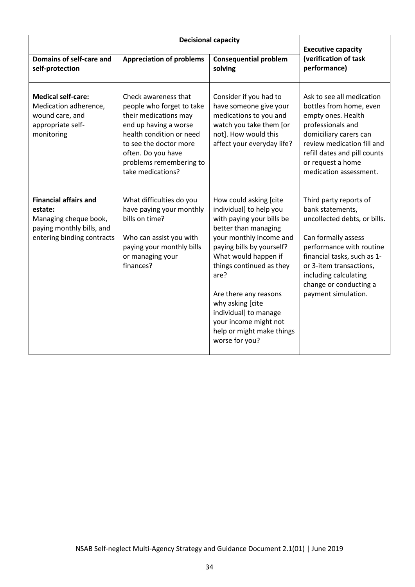|                                                                                                                             | <b>Decisional capacity</b>                                                                                                                                                                                                      |                                                                                                                                                                                                                                                                                                                                                                          |                                                                                                                                                                                                                                                                   |
|-----------------------------------------------------------------------------------------------------------------------------|---------------------------------------------------------------------------------------------------------------------------------------------------------------------------------------------------------------------------------|--------------------------------------------------------------------------------------------------------------------------------------------------------------------------------------------------------------------------------------------------------------------------------------------------------------------------------------------------------------------------|-------------------------------------------------------------------------------------------------------------------------------------------------------------------------------------------------------------------------------------------------------------------|
| Domains of self-care and<br>self-protection                                                                                 | <b>Appreciation of problems</b>                                                                                                                                                                                                 | <b>Consequential problem</b><br>solving                                                                                                                                                                                                                                                                                                                                  | <b>Executive capacity</b><br>(verification of task<br>performance)                                                                                                                                                                                                |
| <b>Medical self-care:</b><br>Medication adherence,<br>wound care, and<br>appropriate self-<br>monitoring                    | Check awareness that<br>people who forget to take<br>their medications may<br>end up having a worse<br>health condition or need<br>to see the doctor more<br>often. Do you have<br>problems remembering to<br>take medications? | Consider if you had to<br>have someone give your<br>medications to you and<br>watch you take them [or<br>not]. How would this<br>affect your everyday life?                                                                                                                                                                                                              | Ask to see all medication<br>bottles from home, even<br>empty ones. Health<br>professionals and<br>domiciliary carers can<br>review medication fill and<br>refill dates and pill counts<br>or request a home<br>medication assessment.                            |
| <b>Financial affairs and</b><br>estate:<br>Managing cheque book,<br>paying monthly bills, and<br>entering binding contracts | What difficulties do you<br>have paying your monthly<br>bills on time?<br>Who can assist you with<br>paying your monthly bills<br>or managing your<br>finances?                                                                 | How could asking [cite<br>individual] to help you<br>with paying your bills be<br>better than managing<br>your monthly income and<br>paying bills by yourself?<br>What would happen if<br>things continued as they<br>are?<br>Are there any reasons<br>why asking [cite<br>individual] to manage<br>your income might not<br>help or might make things<br>worse for you? | Third party reports of<br>bank statements,<br>uncollected debts, or bills.<br>Can formally assess<br>performance with routine<br>financial tasks, such as 1-<br>or 3-item transactions,<br>including calculating<br>change or conducting a<br>payment simulation. |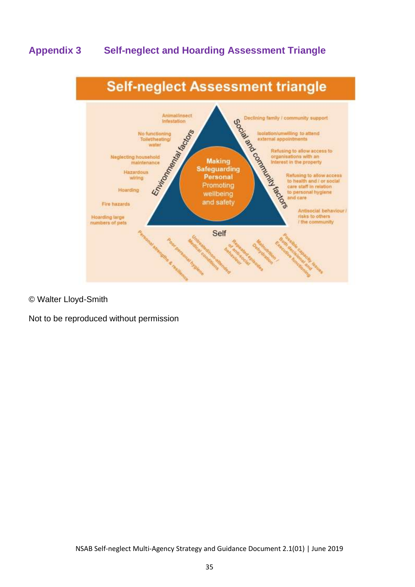### <span id="page-35-0"></span>**Appendix 3 Self-neglect and Hoarding Assessment Triangle**



#### © Walter Lloyd-Smith

Not to be reproduced without permission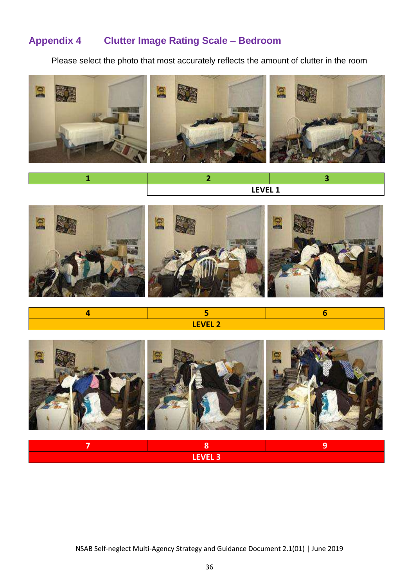### <span id="page-36-0"></span>**Appendix 4 Clutter Image Rating Scale – Bedroom**

Please select the photo that most accurately reflects the amount of clutter in the room



| -- ---<br>.<br>---- |  |
|---------------------|--|



**4 5 6 LEVEL 2**

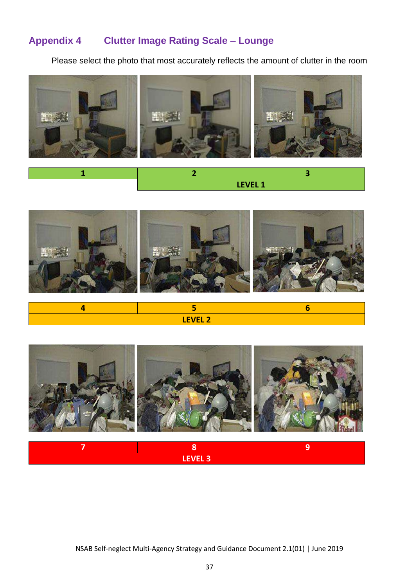### **Appendix 4 Clutter Image Rating Scale – Lounge**

Please select the photo that most accurately reflects the amount of clutter in the room



|  | LEVEL 1 |
|--|---------|



| <b>FVFI</b> <sub>2</sub><br>٠<br>LLVLL 4 |  |  |
|------------------------------------------|--|--|

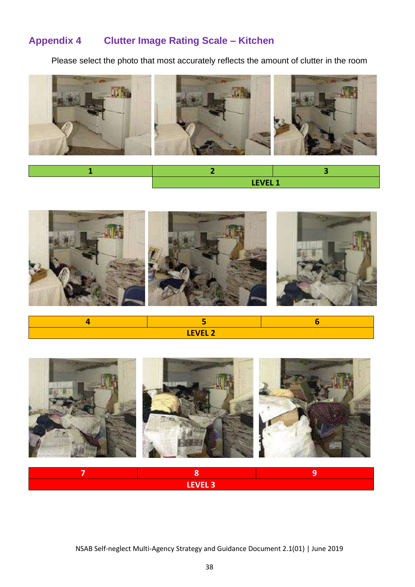### **Appendix 4 Clutter Image Rating Scale – Kitchen**

Please select the photo that most accurately reflects the amount of clutter in the room



| LEVEL 1 |  |
|---------|--|







**7 8 9 LEVEL 3**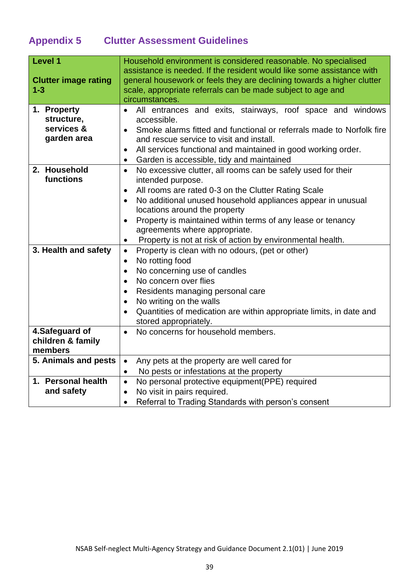## <span id="page-39-0"></span>**Appendix 5 Clutter Assessment Guidelines**

| <b>Level 1</b>                   | Household environment is considered reasonable. No specialised                                                                                  |  |  |
|----------------------------------|-------------------------------------------------------------------------------------------------------------------------------------------------|--|--|
| <b>Clutter image rating</b>      | assistance is needed. If the resident would like some assistance with<br>general housework or feels they are declining towards a higher clutter |  |  |
| $1 - 3$                          | scale, appropriate referrals can be made subject to age and                                                                                     |  |  |
|                                  | circumstances.                                                                                                                                  |  |  |
| 1. Property                      | All entrances and exits, stairways, roof space and windows<br>$\bullet$                                                                         |  |  |
| structure,                       | accessible.                                                                                                                                     |  |  |
| services &<br>garden area        | Smoke alarms fitted and functional or referrals made to Norfolk fire                                                                            |  |  |
|                                  | and rescue service to visit and install.<br>All services functional and maintained in good working order.                                       |  |  |
|                                  | Garden is accessible, tidy and maintained                                                                                                       |  |  |
| 2. Household                     | $\bullet$<br>No excessive clutter, all rooms can be safely used for their<br>$\bullet$                                                          |  |  |
| functions                        | intended purpose.                                                                                                                               |  |  |
|                                  | All rooms are rated 0-3 on the Clutter Rating Scale<br>$\bullet$                                                                                |  |  |
|                                  | No additional unused household appliances appear in unusual<br>$\bullet$                                                                        |  |  |
|                                  | locations around the property                                                                                                                   |  |  |
|                                  | Property is maintained within terms of any lease or tenancy                                                                                     |  |  |
|                                  | agreements where appropriate.                                                                                                                   |  |  |
|                                  | Property is not at risk of action by environmental health.                                                                                      |  |  |
| 3. Health and safety             | Property is clean with no odours, (pet or other)<br>$\bullet$                                                                                   |  |  |
|                                  | No rotting food<br>$\bullet$                                                                                                                    |  |  |
|                                  | No concerning use of candles<br>$\bullet$<br>No concern over flies<br>$\bullet$                                                                 |  |  |
|                                  | Residents managing personal care                                                                                                                |  |  |
|                                  | $\bullet$<br>No writing on the walls                                                                                                            |  |  |
|                                  | $\bullet$<br>Quantities of medication are within appropriate limits, in date and<br>$\bullet$                                                   |  |  |
|                                  | stored appropriately.                                                                                                                           |  |  |
| 4.Safeguard of                   | No concerns for household members.<br>$\bullet$                                                                                                 |  |  |
| children & family                |                                                                                                                                                 |  |  |
| members                          |                                                                                                                                                 |  |  |
| 5. Animals and pests             | Any pets at the property are well cared for<br>$\bullet$                                                                                        |  |  |
|                                  | No pests or infestations at the property<br>$\bullet$                                                                                           |  |  |
| 1. Personal health<br>and safety | No personal protective equipment(PPE) required<br>$\bullet$                                                                                     |  |  |
|                                  | No visit in pairs required.<br>$\bullet$                                                                                                        |  |  |
|                                  | Referral to Trading Standards with person's consent<br>$\bullet$                                                                                |  |  |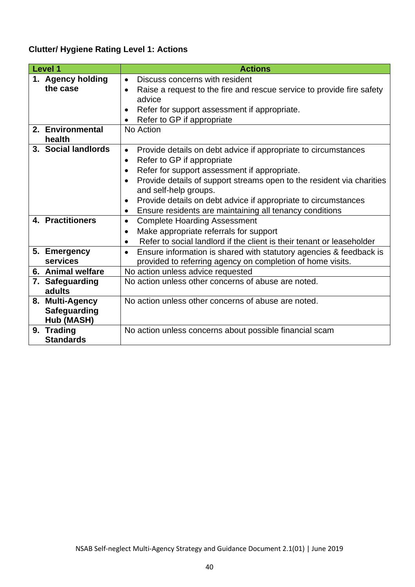### **Clutter/ Hygiene Rating Level 1: Actions**

| <b>Level 1</b> |                                                      | <b>Actions</b>                                                                                                                                                                                                                                                                                                                                                                                                                       |
|----------------|------------------------------------------------------|--------------------------------------------------------------------------------------------------------------------------------------------------------------------------------------------------------------------------------------------------------------------------------------------------------------------------------------------------------------------------------------------------------------------------------------|
|                | 1. Agency holding<br>the case                        | Discuss concerns with resident<br>$\bullet$<br>Raise a request to the fire and rescue service to provide fire safety<br>advice<br>Refer for support assessment if appropriate.<br>$\bullet$<br>Refer to GP if appropriate                                                                                                                                                                                                            |
|                | 2. Environmental<br>health                           | No Action                                                                                                                                                                                                                                                                                                                                                                                                                            |
|                | 3. Social landlords                                  | Provide details on debt advice if appropriate to circumstances<br>$\bullet$<br>Refer to GP if appropriate<br>$\bullet$<br>Refer for support assessment if appropriate.<br>$\bullet$<br>Provide details of support streams open to the resident via charities<br>and self-help groups.<br>Provide details on debt advice if appropriate to circumstances<br>$\bullet$<br>Ensure residents are maintaining all tenancy conditions<br>٠ |
|                | 4. Practitioners                                     | <b>Complete Hoarding Assessment</b><br>$\bullet$<br>Make appropriate referrals for support<br>$\bullet$<br>Refer to social landlord if the client is their tenant or leaseholder<br>$\bullet$                                                                                                                                                                                                                                        |
|                | 5. Emergency<br>services                             | Ensure information is shared with statutory agencies & feedback is<br>$\bullet$<br>provided to referring agency on completion of home visits.                                                                                                                                                                                                                                                                                        |
|                | 6. Animal welfare                                    | No action unless advice requested                                                                                                                                                                                                                                                                                                                                                                                                    |
|                | 7. Safeguarding<br>adults                            | No action unless other concerns of abuse are noted.                                                                                                                                                                                                                                                                                                                                                                                  |
|                | 8. Multi-Agency<br><b>Safeguarding</b><br>Hub (MASH) | No action unless other concerns of abuse are noted.                                                                                                                                                                                                                                                                                                                                                                                  |
|                | 9. Trading<br><b>Standards</b>                       | No action unless concerns about possible financial scam                                                                                                                                                                                                                                                                                                                                                                              |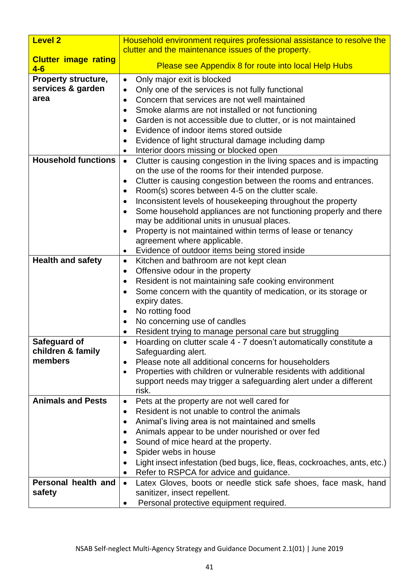| <b>Level 2</b>                       | Household environment requires professional assistance to resolve the                                                    |  |
|--------------------------------------|--------------------------------------------------------------------------------------------------------------------------|--|
|                                      | clutter and the maintenance issues of the property.                                                                      |  |
| <b>Clutter image rating</b><br>$4-6$ | Please see Appendix 8 for route into local Help Hubs                                                                     |  |
| <b>Property structure,</b>           | Only major exit is blocked<br>$\bullet$                                                                                  |  |
| services & garden                    | Only one of the services is not fully functional<br>$\bullet$                                                            |  |
| area                                 | Concern that services are not well maintained<br>$\bullet$                                                               |  |
|                                      | Smoke alarms are not installed or not functioning<br>٠                                                                   |  |
|                                      | Garden is not accessible due to clutter, or is not maintained<br>٠                                                       |  |
|                                      | Evidence of indoor items stored outside                                                                                  |  |
|                                      | Evidence of light structural damage including damp<br>٠                                                                  |  |
|                                      | Interior doors missing or blocked open                                                                                   |  |
| <b>Household functions</b>           | Clutter is causing congestion in the living spaces and is impacting<br>$\bullet$                                         |  |
|                                      | on the use of the rooms for their intended purpose.                                                                      |  |
|                                      | Clutter is causing congestion between the rooms and entrances.<br>٠                                                      |  |
|                                      | Room(s) scores between 4-5 on the clutter scale.<br>٠                                                                    |  |
|                                      | Inconsistent levels of housekeeping throughout the property<br>٠                                                         |  |
|                                      | Some household appliances are not functioning properly and there<br>٠                                                    |  |
|                                      | may be additional units in unusual places.                                                                               |  |
|                                      | Property is not maintained within terms of lease or tenancy<br>$\bullet$                                                 |  |
|                                      | agreement where applicable.                                                                                              |  |
|                                      | Evidence of outdoor items being stored inside<br>٠                                                                       |  |
| <b>Health and safety</b>             | Kitchen and bathroom are not kept clean<br>$\bullet$                                                                     |  |
|                                      | Offensive odour in the property<br>٠                                                                                     |  |
|                                      | Resident is not maintaining safe cooking environment<br>٠                                                                |  |
|                                      | Some concern with the quantity of medication, or its storage or<br>٠                                                     |  |
|                                      | expiry dates.                                                                                                            |  |
|                                      | No rotting food<br>٠                                                                                                     |  |
|                                      | No concerning use of candles                                                                                             |  |
|                                      | Resident trying to manage personal care but struggling                                                                   |  |
| Safeguard of                         | Hoarding on clutter scale 4 - 7 doesn't automatically constitute a<br>$\bullet$                                          |  |
| children & family<br>members         | Safeguarding alert.                                                                                                      |  |
|                                      | Please note all additional concerns for householders<br>Properties with children or vulnerable residents with additional |  |
|                                      | ٠<br>support needs may trigger a safeguarding alert under a different                                                    |  |
|                                      | risk.                                                                                                                    |  |
| <b>Animals and Pests</b>             | Pets at the property are not well cared for<br>٠                                                                         |  |
|                                      | Resident is not unable to control the animals                                                                            |  |
|                                      | Animal's living area is not maintained and smells                                                                        |  |
|                                      | Animals appear to be under nourished or over fed<br>٠                                                                    |  |
|                                      | Sound of mice heard at the property.                                                                                     |  |
|                                      | Spider webs in house                                                                                                     |  |
|                                      | Light insect infestation (bed bugs, lice, fleas, cockroaches, ants, etc.)                                                |  |
|                                      | Refer to RSPCA for advice and guidance.                                                                                  |  |
| Personal health and                  | Latex Gloves, boots or needle stick safe shoes, face mask, hand<br>$\bullet$                                             |  |
| safety                               | sanitizer, insect repellent.                                                                                             |  |
|                                      | Personal protective equipment required.                                                                                  |  |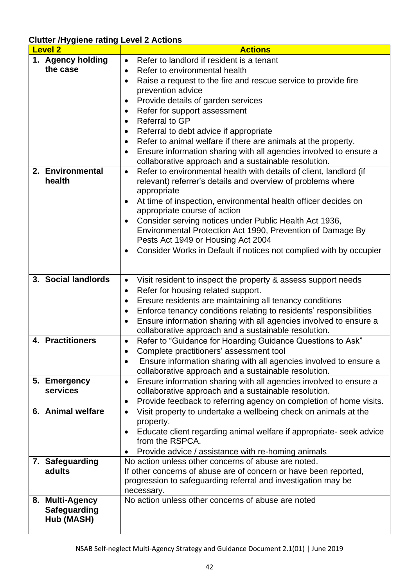**Clutter /Hygiene rating Level 2 Actions**

| <b>Level 2</b>           | <b>Actions</b>                                                                                                                                     |  |
|--------------------------|----------------------------------------------------------------------------------------------------------------------------------------------------|--|
| 1. Agency holding        | Refer to landlord if resident is a tenant<br>$\bullet$                                                                                             |  |
| the case                 | Refer to environmental health<br>$\bullet$                                                                                                         |  |
|                          | Raise a request to the fire and rescue service to provide fire<br>٠                                                                                |  |
|                          | prevention advice                                                                                                                                  |  |
|                          | Provide details of garden services<br>$\bullet$                                                                                                    |  |
|                          | Refer for support assessment<br>$\bullet$                                                                                                          |  |
|                          | Referral to GP<br>$\bullet$                                                                                                                        |  |
|                          | Referral to debt advice if appropriate<br>٠                                                                                                        |  |
|                          | Refer to animal welfare if there are animals at the property.<br>$\bullet$                                                                         |  |
|                          | Ensure information sharing with all agencies involved to ensure a<br>٠                                                                             |  |
|                          | collaborative approach and a sustainable resolution.                                                                                               |  |
| 2. Environmental         | Refer to environmental health with details of client, landlord (if<br>$\bullet$                                                                    |  |
| health                   | relevant) referrer's details and overview of problems where                                                                                        |  |
|                          | appropriate                                                                                                                                        |  |
|                          | At time of inspection, environmental health officer decides on<br>$\bullet$                                                                        |  |
|                          | appropriate course of action                                                                                                                       |  |
|                          | Consider serving notices under Public Health Act 1936,<br>$\bullet$                                                                                |  |
|                          | Environmental Protection Act 1990, Prevention of Damage By                                                                                         |  |
|                          | Pests Act 1949 or Housing Act 2004                                                                                                                 |  |
|                          | Consider Works in Default if notices not complied with by occupier                                                                                 |  |
|                          |                                                                                                                                                    |  |
|                          |                                                                                                                                                    |  |
| 3. Social landlords      | Visit resident to inspect the property & assess support needs<br>$\bullet$                                                                         |  |
|                          | Refer for housing related support.<br>$\bullet$                                                                                                    |  |
|                          | Ensure residents are maintaining all tenancy conditions<br>$\bullet$                                                                               |  |
|                          | Enforce tenancy conditions relating to residents' responsibilities<br>$\bullet$                                                                    |  |
|                          | Ensure information sharing with all agencies involved to ensure a<br>$\bullet$                                                                     |  |
|                          | collaborative approach and a sustainable resolution.                                                                                               |  |
| 4. Practitioners         | Refer to "Guidance for Hoarding Guidance Questions to Ask"<br>$\bullet$                                                                            |  |
|                          | Complete practitioners' assessment tool<br>$\bullet$                                                                                               |  |
|                          | Ensure information sharing with all agencies involved to ensure a                                                                                  |  |
|                          | collaborative approach and a sustainable resolution.                                                                                               |  |
| 5. Emergency<br>services | Ensure information sharing with all agencies involved to ensure a<br>$\bullet$                                                                     |  |
|                          | collaborative approach and a sustainable resolution.                                                                                               |  |
| 6. Animal welfare        | Provide feedback to referring agency on completion of home visits.<br>$\bullet$<br>Visit property to undertake a wellbeing check on animals at the |  |
|                          | $\bullet$<br>property.                                                                                                                             |  |
|                          | Educate client regarding animal welfare if appropriate- seek advice<br>٠                                                                           |  |
|                          | from the RSPCA.                                                                                                                                    |  |
|                          | Provide advice / assistance with re-homing animals                                                                                                 |  |
| 7. Safeguarding          | No action unless other concerns of abuse are noted.                                                                                                |  |
| adults                   | If other concerns of abuse are of concern or have been reported,                                                                                   |  |
|                          | progression to safeguarding referral and investigation may be                                                                                      |  |
|                          | necessary.                                                                                                                                         |  |
| 8. Multi-Agency          | No action unless other concerns of abuse are noted                                                                                                 |  |
| <b>Safeguarding</b>      |                                                                                                                                                    |  |
| Hub (MASH)               |                                                                                                                                                    |  |
|                          |                                                                                                                                                    |  |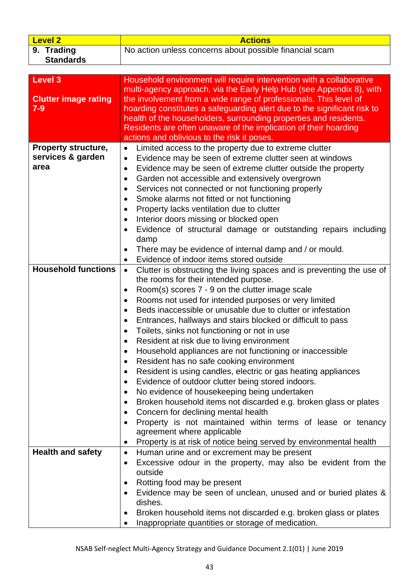| <b>Level 2</b>                                           | <b>Actions</b>                                                                                                                                                                                                                                                                                                                                                                                                                                                                                                                                                                                                                                                                                                                                                                                                                                                                                                                                                                                                                                                                                                                                  |  |  |  |  |  |  |  |
|----------------------------------------------------------|-------------------------------------------------------------------------------------------------------------------------------------------------------------------------------------------------------------------------------------------------------------------------------------------------------------------------------------------------------------------------------------------------------------------------------------------------------------------------------------------------------------------------------------------------------------------------------------------------------------------------------------------------------------------------------------------------------------------------------------------------------------------------------------------------------------------------------------------------------------------------------------------------------------------------------------------------------------------------------------------------------------------------------------------------------------------------------------------------------------------------------------------------|--|--|--|--|--|--|--|
| 9. Trading                                               | No action unless concerns about possible financial scam                                                                                                                                                                                                                                                                                                                                                                                                                                                                                                                                                                                                                                                                                                                                                                                                                                                                                                                                                                                                                                                                                         |  |  |  |  |  |  |  |
| <b>Standards</b>                                         |                                                                                                                                                                                                                                                                                                                                                                                                                                                                                                                                                                                                                                                                                                                                                                                                                                                                                                                                                                                                                                                                                                                                                 |  |  |  |  |  |  |  |
|                                                          |                                                                                                                                                                                                                                                                                                                                                                                                                                                                                                                                                                                                                                                                                                                                                                                                                                                                                                                                                                                                                                                                                                                                                 |  |  |  |  |  |  |  |
| <b>Level 3</b><br><b>Clutter image rating</b><br>$7 - 9$ | Household environment will require intervention with a collaborative<br>multi-agency approach, via the Early Help Hub (see Appendix 8), with<br>the involvement from a wide range of professionals. This level of<br>hoarding constitutes a safeguarding alert due to the significant risk to<br>health of the householders, surrounding properties and residents.<br>Residents are often unaware of the implication of their hoarding<br>actions and oblivious to the risk it poses.                                                                                                                                                                                                                                                                                                                                                                                                                                                                                                                                                                                                                                                           |  |  |  |  |  |  |  |
| <b>Property structure,</b>                               | Limited access to the property due to extreme clutter<br>$\bullet$                                                                                                                                                                                                                                                                                                                                                                                                                                                                                                                                                                                                                                                                                                                                                                                                                                                                                                                                                                                                                                                                              |  |  |  |  |  |  |  |
| services & garden<br>area                                | Evidence may be seen of extreme clutter seen at windows<br>$\bullet$<br>Evidence may be seen of extreme clutter outside the property<br>٠<br>Garden not accessible and extensively overgrown<br>٠<br>Services not connected or not functioning properly<br>٠<br>Smoke alarms not fitted or not functioning<br>$\bullet$<br>Property lacks ventilation due to clutter<br>$\bullet$                                                                                                                                                                                                                                                                                                                                                                                                                                                                                                                                                                                                                                                                                                                                                               |  |  |  |  |  |  |  |
|                                                          |                                                                                                                                                                                                                                                                                                                                                                                                                                                                                                                                                                                                                                                                                                                                                                                                                                                                                                                                                                                                                                                                                                                                                 |  |  |  |  |  |  |  |
|                                                          | Interior doors missing or blocked open<br>$\bullet$<br>Evidence of structural damage or outstanding repairs including<br>$\bullet$<br>damp<br>There may be evidence of internal damp and / or mould.<br>$\bullet$<br>Evidence of indoor items stored outside                                                                                                                                                                                                                                                                                                                                                                                                                                                                                                                                                                                                                                                                                                                                                                                                                                                                                    |  |  |  |  |  |  |  |
| <b>Household functions</b>                               | $\bullet$                                                                                                                                                                                                                                                                                                                                                                                                                                                                                                                                                                                                                                                                                                                                                                                                                                                                                                                                                                                                                                                                                                                                       |  |  |  |  |  |  |  |
|                                                          | Clutter is obstructing the living spaces and is preventing the use of<br>$\bullet$<br>the rooms for their intended purpose.<br>Room(s) scores 7 - 9 on the clutter image scale<br>٠<br>Rooms not used for intended purposes or very limited<br>٠<br>Beds inaccessible or unusable due to clutter or infestation<br>$\bullet$<br>Entrances, hallways and stairs blocked or difficult to pass<br>٠<br>Toilets, sinks not functioning or not in use<br>$\bullet$<br>Resident at risk due to living environment<br>Household appliances are not functioning or inaccessible<br>$\bullet$<br>Resident has no safe cooking environment<br>٠<br>Resident is using candles, electric or gas heating appliances<br>٠<br>Evidence of outdoor clutter being stored indoors.<br>$\bullet$<br>No evidence of housekeeping being undertaken<br>٠<br>Broken household items not discarded e.g. broken glass or plates<br>$\bullet$<br>Concern for declining mental health<br>٠<br>Property is not maintained within terms of lease or tenancy<br>agreement where applicable<br>Property is at risk of notice being served by environmental health<br>$\bullet$ |  |  |  |  |  |  |  |
| <b>Health and safety</b>                                 | Human urine and or excrement may be present<br>$\bullet$<br>Excessive odour in the property, may also be evident from the<br>٠<br>outside<br>Rotting food may be present<br>Evidence may be seen of unclean, unused and or buried plates &<br>$\bullet$<br>dishes.<br>Broken household items not discarded e.g. broken glass or plates<br>Inappropriate quantities or storage of medication.                                                                                                                                                                                                                                                                                                                                                                                                                                                                                                                                                                                                                                                                                                                                                    |  |  |  |  |  |  |  |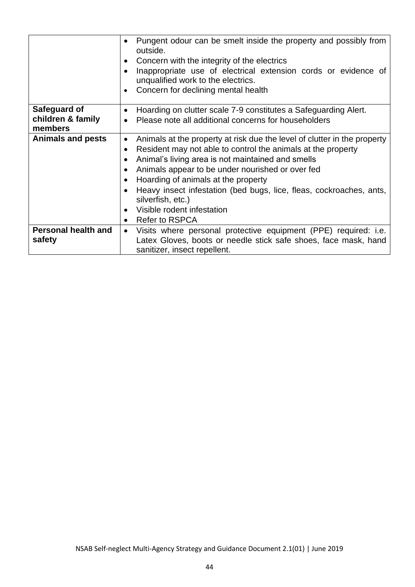|                            | Pungent odour can be smelt inside the property and possibly from<br>outside.<br>Concern with the integrity of the electrics |  |  |  |  |  |  |  |  |  |
|----------------------------|-----------------------------------------------------------------------------------------------------------------------------|--|--|--|--|--|--|--|--|--|
|                            |                                                                                                                             |  |  |  |  |  |  |  |  |  |
|                            | Inappropriate use of electrical extension cords or evidence of                                                              |  |  |  |  |  |  |  |  |  |
|                            | unqualified work to the electrics.                                                                                          |  |  |  |  |  |  |  |  |  |
|                            | Concern for declining mental health                                                                                         |  |  |  |  |  |  |  |  |  |
|                            |                                                                                                                             |  |  |  |  |  |  |  |  |  |
| Safeguard of               | Hoarding on clutter scale 7-9 constitutes a Safeguarding Alert.<br>$\bullet$                                                |  |  |  |  |  |  |  |  |  |
| children & family          | Please note all additional concerns for householders<br>$\bullet$                                                           |  |  |  |  |  |  |  |  |  |
| members                    |                                                                                                                             |  |  |  |  |  |  |  |  |  |
| <b>Animals and pests</b>   | Animals at the property at risk due the level of clutter in the property<br>$\bullet$                                       |  |  |  |  |  |  |  |  |  |
|                            | Resident may not able to control the animals at the property                                                                |  |  |  |  |  |  |  |  |  |
|                            | Animal's living area is not maintained and smells                                                                           |  |  |  |  |  |  |  |  |  |
|                            | Animals appear to be under nourished or over fed                                                                            |  |  |  |  |  |  |  |  |  |
|                            | Hoarding of animals at the property                                                                                         |  |  |  |  |  |  |  |  |  |
|                            | Heavy insect infestation (bed bugs, lice, fleas, cockroaches, ants,                                                         |  |  |  |  |  |  |  |  |  |
|                            | silverfish, etc.)                                                                                                           |  |  |  |  |  |  |  |  |  |
|                            | Visible rodent infestation<br>$\bullet$                                                                                     |  |  |  |  |  |  |  |  |  |
|                            | <b>Refer to RSPCA</b><br>$\bullet$                                                                                          |  |  |  |  |  |  |  |  |  |
| <b>Personal health and</b> | Visits where personal protective equipment (PPE) required: i.e.<br>$\bullet$                                                |  |  |  |  |  |  |  |  |  |
| safety                     | Latex Gloves, boots or needle stick safe shoes, face mask, hand                                                             |  |  |  |  |  |  |  |  |  |
|                            | sanitizer, insect repellent.                                                                                                |  |  |  |  |  |  |  |  |  |
|                            |                                                                                                                             |  |  |  |  |  |  |  |  |  |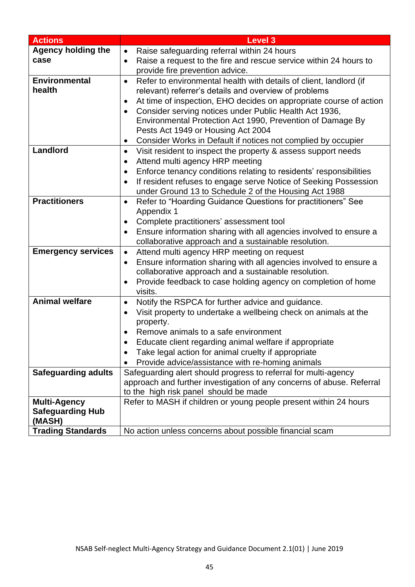| <b>Actions</b>             | <b>Level 3</b>                                                                            |  |  |  |  |  |  |  |
|----------------------------|-------------------------------------------------------------------------------------------|--|--|--|--|--|--|--|
| <b>Agency holding the</b>  | Raise safeguarding referral within 24 hours<br>$\bullet$                                  |  |  |  |  |  |  |  |
| case                       | Raise a request to the fire and rescue service within 24 hours to<br>$\bullet$            |  |  |  |  |  |  |  |
|                            | provide fire prevention advice.                                                           |  |  |  |  |  |  |  |
| <b>Environmental</b>       | Refer to environmental health with details of client, landlord (if<br>$\bullet$           |  |  |  |  |  |  |  |
| health                     | relevant) referrer's details and overview of problems                                     |  |  |  |  |  |  |  |
|                            | At time of inspection, EHO decides on appropriate course of action<br>$\bullet$           |  |  |  |  |  |  |  |
|                            | Consider serving notices under Public Health Act 1936,                                    |  |  |  |  |  |  |  |
|                            | Environmental Protection Act 1990, Prevention of Damage By                                |  |  |  |  |  |  |  |
|                            | Pests Act 1949 or Housing Act 2004                                                        |  |  |  |  |  |  |  |
|                            | Consider Works in Default if notices not complied by occupier                             |  |  |  |  |  |  |  |
| Landlord                   | Visit resident to inspect the property & assess support needs<br>$\bullet$                |  |  |  |  |  |  |  |
|                            | Attend multi agency HRP meeting<br>$\bullet$                                              |  |  |  |  |  |  |  |
|                            | Enforce tenancy conditions relating to residents' responsibilities<br>$\bullet$           |  |  |  |  |  |  |  |
|                            | If resident refuses to engage serve Notice of Seeking Possession<br>$\bullet$             |  |  |  |  |  |  |  |
|                            | under Ground 13 to Schedule 2 of the Housing Act 1988                                     |  |  |  |  |  |  |  |
| <b>Practitioners</b>       | Refer to "Hoarding Guidance Questions for practitioners" See<br>$\bullet$                 |  |  |  |  |  |  |  |
|                            | Appendix 1                                                                                |  |  |  |  |  |  |  |
|                            | Complete practitioners' assessment tool<br>$\bullet$                                      |  |  |  |  |  |  |  |
|                            | Ensure information sharing with all agencies involved to ensure a<br>$\bullet$            |  |  |  |  |  |  |  |
|                            | collaborative approach and a sustainable resolution.                                      |  |  |  |  |  |  |  |
| <b>Emergency services</b>  | Attend multi agency HRP meeting on request<br>$\bullet$                                   |  |  |  |  |  |  |  |
|                            | Ensure information sharing with all agencies involved to ensure a<br>$\bullet$            |  |  |  |  |  |  |  |
|                            | collaborative approach and a sustainable resolution.                                      |  |  |  |  |  |  |  |
|                            | Provide feedback to case holding agency on completion of home<br>$\bullet$                |  |  |  |  |  |  |  |
| <b>Animal welfare</b>      | visits.                                                                                   |  |  |  |  |  |  |  |
|                            | Notify the RSPCA for further advice and guidance.<br>$\bullet$                            |  |  |  |  |  |  |  |
|                            | Visit property to undertake a wellbeing check on animals at the<br>$\bullet$<br>property. |  |  |  |  |  |  |  |
|                            | Remove animals to a safe environment                                                      |  |  |  |  |  |  |  |
|                            | Educate client regarding animal welfare if appropriate                                    |  |  |  |  |  |  |  |
|                            | Take legal action for animal cruelty if appropriate                                       |  |  |  |  |  |  |  |
|                            | Provide advice/assistance with re-homing animals                                          |  |  |  |  |  |  |  |
| <b>Safeguarding adults</b> | Safeguarding alert should progress to referral for multi-agency                           |  |  |  |  |  |  |  |
|                            | approach and further investigation of any concerns of abuse. Referral                     |  |  |  |  |  |  |  |
|                            | to the high risk panel should be made                                                     |  |  |  |  |  |  |  |
| <b>Multi-Agency</b>        | Refer to MASH if children or young people present within 24 hours                         |  |  |  |  |  |  |  |
| <b>Safeguarding Hub</b>    |                                                                                           |  |  |  |  |  |  |  |
| (MASH)                     |                                                                                           |  |  |  |  |  |  |  |
| <b>Trading Standards</b>   | No action unless concerns about possible financial scam                                   |  |  |  |  |  |  |  |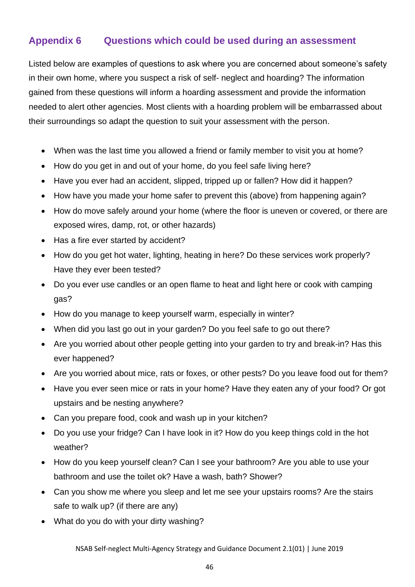### <span id="page-46-0"></span>**Appendix 6 Questions which could be used during an assessment**

Listed below are examples of questions to ask where you are concerned about someone's safety in their own home, where you suspect a risk of self- neglect and hoarding? The information gained from these questions will inform a hoarding assessment and provide the information needed to alert other agencies. Most clients with a hoarding problem will be embarrassed about their surroundings so adapt the question to suit your assessment with the person.

- When was the last time you allowed a friend or family member to visit you at home?
- How do you get in and out of your home, do you feel safe living here?
- Have you ever had an accident, slipped, tripped up or fallen? How did it happen?
- How have you made your home safer to prevent this (above) from happening again?
- How do move safely around your home (where the floor is uneven or covered, or there are exposed wires, damp, rot, or other hazards)
- Has a fire ever started by accident?
- How do you get hot water, lighting, heating in here? Do these services work properly? Have they ever been tested?
- Do you ever use candles or an open flame to heat and light here or cook with camping gas?
- How do you manage to keep yourself warm, especially in winter?
- When did you last go out in your garden? Do you feel safe to go out there?
- Are you worried about other people getting into your garden to try and break-in? Has this ever happened?
- Are you worried about mice, rats or foxes, or other pests? Do you leave food out for them?
- Have you ever seen mice or rats in your home? Have they eaten any of your food? Or got upstairs and be nesting anywhere?
- Can you prepare food, cook and wash up in your kitchen?
- Do you use your fridge? Can I have look in it? How do you keep things cold in the hot weather?
- How do you keep yourself clean? Can I see your bathroom? Are you able to use your bathroom and use the toilet ok? Have a wash, bath? Shower?
- Can you show me where you sleep and let me see your upstairs rooms? Are the stairs safe to walk up? (if there are any)
- What do you do with your dirty washing?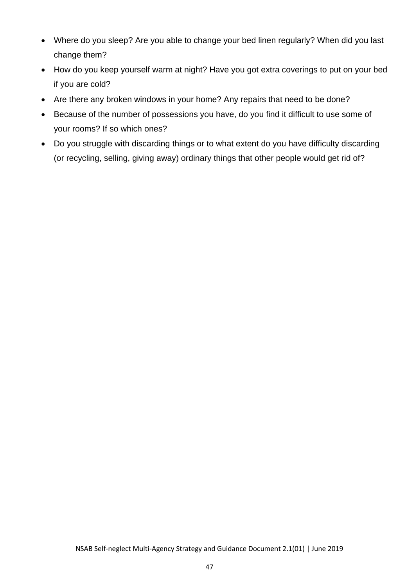- Where do you sleep? Are you able to change your bed linen regularly? When did you last change them?
- How do you keep yourself warm at night? Have you got extra coverings to put on your bed if you are cold?
- Are there any broken windows in your home? Any repairs that need to be done?
- Because of the number of possessions you have, do you find it difficult to use some of your rooms? If so which ones?
- Do you struggle with discarding things or to what extent do you have difficulty discarding (or recycling, selling, giving away) ordinary things that other people would get rid of?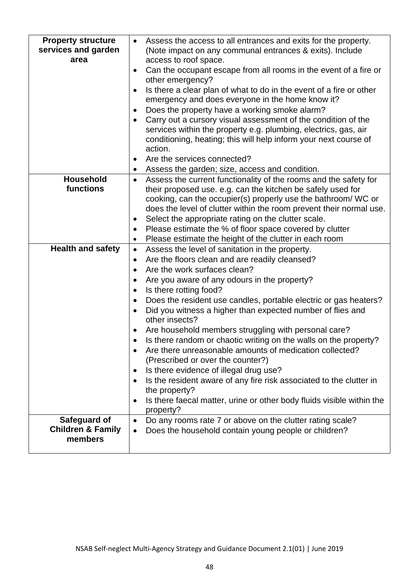| <b>Property structure</b><br>services and garden<br>area | Assess the access to all entrances and exits for the property.<br>$\bullet$<br>(Note impact on any communal entrances & exits). Include<br>access to roof space.<br>Can the occupant escape from all rooms in the event of a fire or<br>$\bullet$<br>other emergency?<br>Is there a clear plan of what to do in the event of a fire or other<br>$\bullet$<br>emergency and does everyone in the home know it?<br>Does the property have a working smoke alarm?<br>٠<br>Carry out a cursory visual assessment of the condition of the<br>$\bullet$<br>services within the property e.g. plumbing, electrics, gas, air<br>conditioning, heating; this will help inform your next course of<br>action.<br>Are the services connected?<br>$\bullet$                                                                                                                                                                                                       |
|----------------------------------------------------------|-------------------------------------------------------------------------------------------------------------------------------------------------------------------------------------------------------------------------------------------------------------------------------------------------------------------------------------------------------------------------------------------------------------------------------------------------------------------------------------------------------------------------------------------------------------------------------------------------------------------------------------------------------------------------------------------------------------------------------------------------------------------------------------------------------------------------------------------------------------------------------------------------------------------------------------------------------|
|                                                          | Assess the garden; size, access and condition.<br>٠                                                                                                                                                                                                                                                                                                                                                                                                                                                                                                                                                                                                                                                                                                                                                                                                                                                                                                   |
| <b>Household</b><br>functions                            | Assess the current functionality of the rooms and the safety for<br>$\bullet$<br>their proposed use. e.g. can the kitchen be safely used for<br>cooking, can the occupier(s) properly use the bathroom/ WC or<br>does the level of clutter within the room prevent their normal use.<br>Select the appropriate rating on the clutter scale.<br>٠<br>Please estimate the % of floor space covered by clutter<br>$\bullet$<br>Please estimate the height of the clutter in each room<br>$\bullet$                                                                                                                                                                                                                                                                                                                                                                                                                                                       |
| <b>Health and safety</b>                                 | Assess the level of sanitation in the property.<br>$\bullet$<br>Are the floors clean and are readily cleansed?<br>$\bullet$<br>Are the work surfaces clean?<br>$\bullet$<br>Are you aware of any odours in the property?<br>$\bullet$<br>Is there rotting food?<br>$\bullet$<br>Does the resident use candles, portable electric or gas heaters?<br>$\bullet$<br>Did you witness a higher than expected number of flies and<br>other insects?<br>Are household members struggling with personal care?<br>$\bullet$<br>Is there random or chaotic writing on the walls on the property?<br>Are there unreasonable amounts of medication collected?<br>(Prescribed or over the counter?)<br>Is there evidence of illegal drug use?<br>$\bullet$<br>Is the resident aware of any fire risk associated to the clutter in<br>$\bullet$<br>the property?<br>Is there faecal matter, urine or other body fluids visible within the<br>$\bullet$<br>property? |
| Safeguard of<br><b>Children &amp; Family</b><br>members  | Do any rooms rate 7 or above on the clutter rating scale?<br>$\bullet$<br>Does the household contain young people or children?<br>$\bullet$                                                                                                                                                                                                                                                                                                                                                                                                                                                                                                                                                                                                                                                                                                                                                                                                           |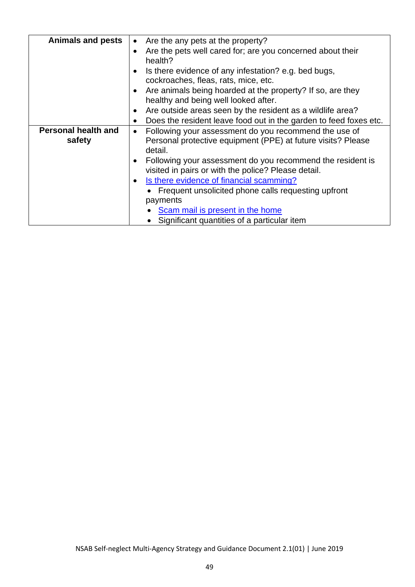| <b>Animals and pests</b>   | Are the any pets at the property?                                  |  |  |  |  |  |  |  |  |
|----------------------------|--------------------------------------------------------------------|--|--|--|--|--|--|--|--|
|                            |                                                                    |  |  |  |  |  |  |  |  |
|                            | Are the pets well cared for; are you concerned about their         |  |  |  |  |  |  |  |  |
|                            | health?                                                            |  |  |  |  |  |  |  |  |
|                            | Is there evidence of any infestation? e.g. bed bugs,               |  |  |  |  |  |  |  |  |
|                            | cockroaches, fleas, rats, mice, etc.                               |  |  |  |  |  |  |  |  |
|                            | Are animals being hoarded at the property? If so, are they         |  |  |  |  |  |  |  |  |
|                            | healthy and being well looked after.                               |  |  |  |  |  |  |  |  |
|                            | Are outside areas seen by the resident as a wildlife area?         |  |  |  |  |  |  |  |  |
|                            | Does the resident leave food out in the garden to feed foxes etc.  |  |  |  |  |  |  |  |  |
| <b>Personal health and</b> | Following your assessment do you recommend the use of<br>$\bullet$ |  |  |  |  |  |  |  |  |
| safety                     | Personal protective equipment (PPE) at future visits? Please       |  |  |  |  |  |  |  |  |
|                            | detail.                                                            |  |  |  |  |  |  |  |  |
|                            | Following your assessment do you recommend the resident is         |  |  |  |  |  |  |  |  |
|                            | visited in pairs or with the police? Please detail.                |  |  |  |  |  |  |  |  |
|                            | Is there evidence of financial scamming?<br>$\bullet$              |  |  |  |  |  |  |  |  |
|                            | Frequent unsolicited phone calls requesting upfront                |  |  |  |  |  |  |  |  |
|                            | payments                                                           |  |  |  |  |  |  |  |  |
|                            | Scam mail is present in the home                                   |  |  |  |  |  |  |  |  |
|                            | Significant quantities of a particular item                        |  |  |  |  |  |  |  |  |
|                            |                                                                    |  |  |  |  |  |  |  |  |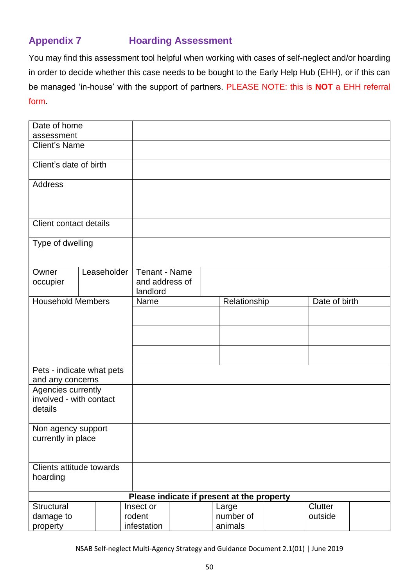### <span id="page-50-0"></span>**Appendix 7 Hoarding Assessment**

You may find this assessment tool helpful when working with cases of self-neglect and/or hoarding in order to decide whether this case needs to be bought to the Early Help Hub (EHH), or if this can be managed 'in-house' with the support of partners. PLEASE NOTE: this is **NOT** a EHH referral form.

| assessment<br><b>Client's Name</b><br>Client's date of birth<br><b>Address</b>    |                  |  |  |  |
|-----------------------------------------------------------------------------------|------------------|--|--|--|
|                                                                                   | Date of home     |  |  |  |
|                                                                                   |                  |  |  |  |
|                                                                                   |                  |  |  |  |
|                                                                                   |                  |  |  |  |
| <b>Client contact details</b>                                                     |                  |  |  |  |
| Type of dwelling                                                                  |                  |  |  |  |
| Leaseholder<br>Tenant - Name<br>Owner<br>and address of<br>occupier<br>landlord   |                  |  |  |  |
| <b>Household Members</b><br>Date of birth<br>Relationship<br>Name                 |                  |  |  |  |
|                                                                                   |                  |  |  |  |
|                                                                                   |                  |  |  |  |
|                                                                                   |                  |  |  |  |
|                                                                                   |                  |  |  |  |
| Pets - indicate what pets                                                         |                  |  |  |  |
|                                                                                   | and any concerns |  |  |  |
| Agencies currently<br>involved - with contact                                     |                  |  |  |  |
| details                                                                           |                  |  |  |  |
| Non agency support                                                                |                  |  |  |  |
| currently in place                                                                |                  |  |  |  |
| Clients attitude towards<br>hoarding                                              |                  |  |  |  |
| Please indicate if present at the property                                        |                  |  |  |  |
| Structural<br>Clutter<br>Large<br>Insect or                                       |                  |  |  |  |
| number of<br>rodent<br>outside<br>damage to<br>infestation<br>animals<br>property |                  |  |  |  |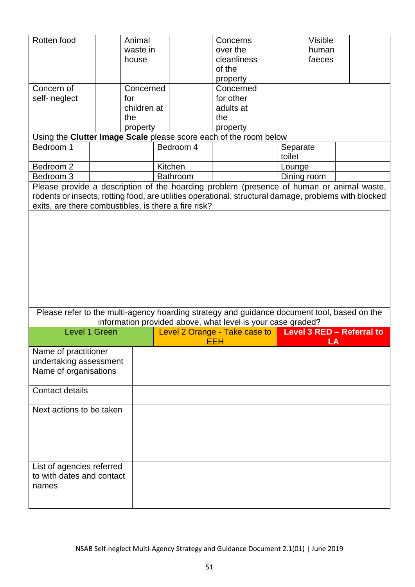| Rotten food<br>Concern of<br>self- neglect                                                                                                                                                                                                                |  | Animal<br>waste in<br>house<br>Concerned<br>for<br>children at<br>the<br>property |           |          | Concerns<br>over the<br>cleanliness<br>of the<br>property<br>Concerned<br>for other<br>adults at<br>the<br>property |  |                    | <b>Visible</b><br>human<br>faeces |                           |
|-----------------------------------------------------------------------------------------------------------------------------------------------------------------------------------------------------------------------------------------------------------|--|-----------------------------------------------------------------------------------|-----------|----------|---------------------------------------------------------------------------------------------------------------------|--|--------------------|-----------------------------------|---------------------------|
| Using the Clutter Image Scale please score each of the room below                                                                                                                                                                                         |  |                                                                                   |           |          |                                                                                                                     |  |                    |                                   |                           |
| Bedroom 1                                                                                                                                                                                                                                                 |  |                                                                                   | Bedroom 4 |          |                                                                                                                     |  | Separate<br>toilet |                                   |                           |
| Bedroom 2                                                                                                                                                                                                                                                 |  |                                                                                   | Kitchen   |          |                                                                                                                     |  | Lounge             |                                   |                           |
| Bedroom 3                                                                                                                                                                                                                                                 |  |                                                                                   |           | Bathroom |                                                                                                                     |  | Dining room        |                                   |                           |
| Please provide a description of the hoarding problem (presence of human or animal waste,<br>rodents or insects, rotting food, are utilities operational, structural damage, problems with blocked<br>exits, are there combustibles, is there a fire risk? |  |                                                                                   |           |          |                                                                                                                     |  |                    |                                   |                           |
|                                                                                                                                                                                                                                                           |  |                                                                                   |           |          |                                                                                                                     |  |                    |                                   |                           |
| Please refer to the multi-agency hoarding strategy and guidance document tool, based on the                                                                                                                                                               |  |                                                                                   |           |          | information provided above, what level is your case graded?                                                         |  |                    |                                   |                           |
| <b>Level 1 Green</b>                                                                                                                                                                                                                                      |  |                                                                                   |           |          | Level 2 Orange - Take case to                                                                                       |  |                    |                                   | Level 3 RED - Referral to |
|                                                                                                                                                                                                                                                           |  |                                                                                   |           |          | EEH                                                                                                                 |  |                    | LA                                |                           |
| Name of practitioner                                                                                                                                                                                                                                      |  |                                                                                   |           |          |                                                                                                                     |  |                    |                                   |                           |
| undertaking assessment<br>Name of organisations                                                                                                                                                                                                           |  |                                                                                   |           |          |                                                                                                                     |  |                    |                                   |                           |
| <b>Contact details</b>                                                                                                                                                                                                                                    |  |                                                                                   |           |          |                                                                                                                     |  |                    |                                   |                           |
| Next actions to be taken                                                                                                                                                                                                                                  |  |                                                                                   |           |          |                                                                                                                     |  |                    |                                   |                           |
| List of agencies referred<br>to with dates and contact<br>names                                                                                                                                                                                           |  |                                                                                   |           |          |                                                                                                                     |  |                    |                                   |                           |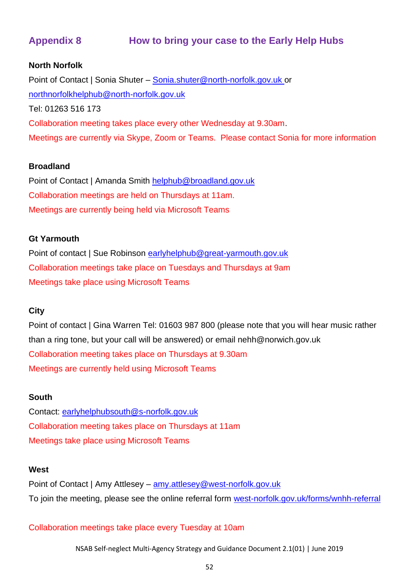### <span id="page-52-0"></span>**Appendix 8 How to bring your case to the Early Help Hubs**

#### **North Norfolk**

Point of Contact | Sonia Shuter – [Sonia.shuter@north-norfolk.gov.uk](mailto:Sonia.shuter@north-norfolk.gov.uk) or [northnorfolkhelphub@north-norfolk.gov.uk](mailto:northnorfolkhelphub@north-norfolk.gov.uk) Tel: 01263 516 173 Collaboration meeting takes place every other Wednesday at 9.30am. Meetings are currently via Skype, Zoom or Teams. Please contact Sonia for more information

#### **Broadland**

Point of Contact | Amanda Smith [helphub@broadland.gov.uk](mailto:helphub@broadland.gov.uk) Collaboration meetings are held on Thursdays at 11am. Meetings are currently being held via Microsoft Teams

#### **Gt Yarmouth**

Point of contact | Sue Robinson [earlyhelphub@great-yarmouth.gov.uk](mailto:earlyhelphub@great-yarmouth.gov.uk) Collaboration meetings take place on Tuesdays and Thursdays at 9am Meetings take place using Microsoft Teams

#### **City**

Point of contact | Gina Warren Tel: 01603 987 800 (please note that you will hear music rather than a ring tone, but your call will be answered) or email nehh@norwich.gov.uk Collaboration meeting takes place on Thursdays at 9.30am Meetings are currently held using Microsoft Teams

#### **South**

Contact: [earlyhelphubsouth@s-norfolk.gov.uk](mailto:earlyhelphubsouth@s-norfolk.gov.uk) Collaboration meeting takes place on Thursdays at 11am Meetings take place using Microsoft Teams

#### **West**

Point of Contact | Amy Attlesey – [amy.attlesey@west-norfolk.gov.uk](mailto:amy.attlesey@west-norfolk.gov.uk) To join the meeting, please see the online referral form [west-norfolk.gov.uk/forms/wnhh-referral](http://www.west-norfolk.gov.uk/forms/wnhh-referral)

Collaboration meetings take place every Tuesday at 10am